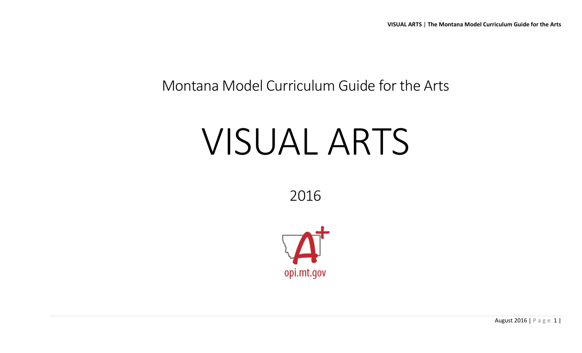## Montana Model Curriculum Guide for the Arts

# VISUAL ARTS

2016



August 2016 | P a g e 1 |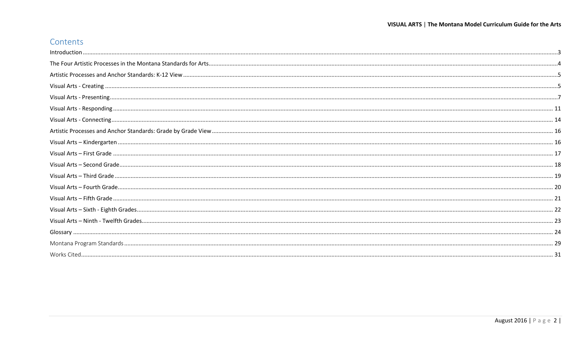#### Contents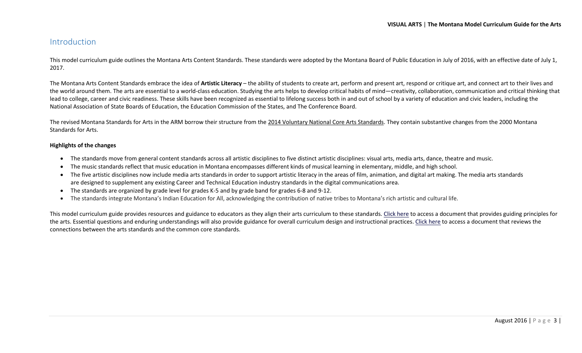#### <span id="page-2-0"></span>Introduction

This model curriculum guide outlines the Montana Arts Content Standards. These standards were adopted by the Montana Board of Public Education in July of 2016, with an effective date of July 1, 2017.

The Montana Arts Content Standards embrace the idea of **Artistic Literacy** – the ability of students to create art, perform and present art, respond or critique art, and connect art to their lives and the world around them. The arts are essential to a world-class education. Studying the arts helps to develop critical habits of mind—creativity, collaboration, communication and critical thinking that lead to college, career and civic readiness. These skills have been recognized as essential to lifelong success both in and out of school by a variety of education and civic leaders, including the National Association of State Boards of Education, the Education Commission of the States, and The Conference Board.

The revised Montana Standards for Arts in the ARM borrow their structure from the [2014 Voluntary National Core Arts Standards.](http://www.nationalartsstandards.org/) They contain substantive changes from the 2000 Montana Standards for Arts.

#### **Highlights of the changes**

- The standards move from general content standards across all artistic disciplines to five distinct artistic disciplines: visual arts, media arts, dance, theatre and music.
- The music standards reflect that music education in Montana encompasses different kinds of musical learning in elementary, middle, and high school.
- The five artistic disciplines now include media arts standards in order to support artistic literacy in the areas of film, animation, and digital art making. The media arts standards are designed to supplement any existing Career and Technical Education industry standards in the digital communications area.
- The standards are organized by grade level for grades K-5 and by grade band for grades 6-8 and 9-12.
- The standards integrate Montana's Indian Education for All, acknowledging the contribution of native tribes to Montana's rich artistic and cultural life.

This model curriculum guide provides resources and guidance to educators as they align their arts curriculum to these standards[. Click here](http://usny.nysed.gov/rttt/docs/guidingprinciples-arts.pdf) to access a document that provides guiding principles for the arts. Essential questions and enduring understandings will also provide guidance for overall curriculum design and instructional practices. [Click here](http://www.nationalartsstandards.org/sites/default/files/College%20Board%20Research%20-%20Arts%20and%20Common%20Core%20-%20final%20report1.pdf) to access a document that reviews the connections between the arts standards and the common core standards.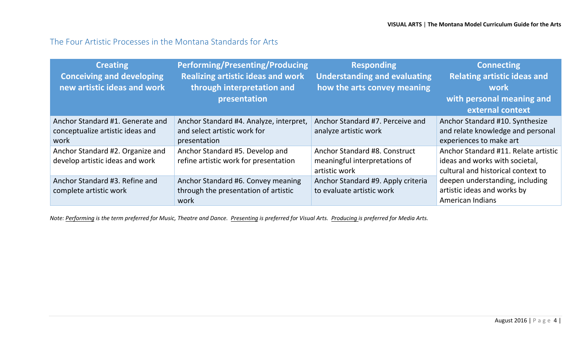#### <span id="page-3-0"></span>The Four Artistic Processes in the Montana Standards for Arts

| <b>Creating</b><br><b>Conceiving and developing</b><br>new artistic ideas and work | <b>Performing/Presenting/Producing</b><br><b>Realizing artistic ideas and work</b><br>through interpretation and<br>presentation | <b>Responding</b><br><b>Understanding and evaluating</b><br>how the arts convey meaning | <b>Connecting</b><br><b>Relating artistic ideas and</b><br>work<br>with personal meaning and<br>external context |
|------------------------------------------------------------------------------------|----------------------------------------------------------------------------------------------------------------------------------|-----------------------------------------------------------------------------------------|------------------------------------------------------------------------------------------------------------------|
| Anchor Standard #1. Generate and<br>conceptualize artistic ideas and<br>work       | Anchor Standard #4. Analyze, interpret,<br>and select artistic work for<br>presentation                                          | Anchor Standard #7. Perceive and<br>analyze artistic work                               | Anchor Standard #10. Synthesize<br>and relate knowledge and personal<br>experiences to make art                  |
| Anchor Standard #2. Organize and<br>develop artistic ideas and work                | Anchor Standard #5. Develop and<br>refine artistic work for presentation                                                         | Anchor Standard #8. Construct<br>meaningful interpretations of<br>artistic work         | Anchor Standard #11. Relate artistic<br>ideas and works with societal,<br>cultural and historical context to     |
| Anchor Standard #3. Refine and<br>complete artistic work                           | Anchor Standard #6. Convey meaning<br>through the presentation of artistic<br>work                                               | Anchor Standard #9. Apply criteria<br>to evaluate artistic work                         | deepen understanding, including<br>artistic ideas and works by<br>American Indians                               |

*Note: Performing is the term preferred for Music, Theatre and Dance. Presenting is preferred for Visual Arts. Producing is preferred for Media Arts.*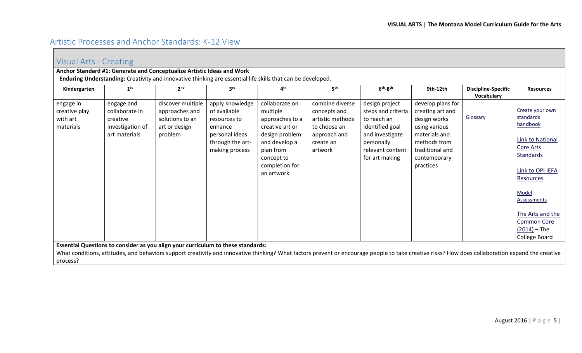## <span id="page-4-0"></span>Artistic Processes and Anchor Standards: K-12 View

<span id="page-4-1"></span>

|                                                     | Visual Arts - Creating                                                                                                                                                                                                                                                                |                                                                                                             |                                                                                                                    |                                                                                                                                                                |                                                                                                             |                                                                                                                                               |                                                                                                                                                         |                                          |                                                                                                                                                                                                                                                   |  |  |
|-----------------------------------------------------|---------------------------------------------------------------------------------------------------------------------------------------------------------------------------------------------------------------------------------------------------------------------------------------|-------------------------------------------------------------------------------------------------------------|--------------------------------------------------------------------------------------------------------------------|----------------------------------------------------------------------------------------------------------------------------------------------------------------|-------------------------------------------------------------------------------------------------------------|-----------------------------------------------------------------------------------------------------------------------------------------------|---------------------------------------------------------------------------------------------------------------------------------------------------------|------------------------------------------|---------------------------------------------------------------------------------------------------------------------------------------------------------------------------------------------------------------------------------------------------|--|--|
|                                                     |                                                                                                                                                                                                                                                                                       | Anchor Standard #1: Generate and Conceptualize Artistic Ideas and Work                                      |                                                                                                                    |                                                                                                                                                                |                                                                                                             |                                                                                                                                               |                                                                                                                                                         |                                          |                                                                                                                                                                                                                                                   |  |  |
|                                                     |                                                                                                                                                                                                                                                                                       | Enduring Understanding: Creativity and innovative thinking are essential life skills that can be developed. |                                                                                                                    |                                                                                                                                                                |                                                                                                             |                                                                                                                                               |                                                                                                                                                         |                                          |                                                                                                                                                                                                                                                   |  |  |
| Kindergarten                                        | 1 <sup>st</sup>                                                                                                                                                                                                                                                                       | 2 <sup>nd</sup>                                                                                             | 3 <sup>rd</sup>                                                                                                    | 4 <sup>th</sup>                                                                                                                                                | 5 <sup>th</sup>                                                                                             | $6th-8th$                                                                                                                                     | 9th-12th                                                                                                                                                | <b>Discipline-Specific</b><br>Vocabulary | <b>Resources</b>                                                                                                                                                                                                                                  |  |  |
| engage in<br>creative play<br>with art<br>materials | engage and<br>collaborate in<br>creative<br>investigation of<br>art materials                                                                                                                                                                                                         | discover multiple<br>approaches and<br>solutions to an<br>art or design<br>problem                          | apply knowledge<br>of available<br>resources to<br>enhance<br>personal ideas<br>through the art-<br>making process | collaborate on<br>multiple<br>approaches to a<br>creative art or<br>design problem<br>and develop a<br>plan from<br>concept to<br>completion for<br>an artwork | combine diverse<br>concepts and<br>artistic methods<br>to choose an<br>approach and<br>create an<br>artwork | design project<br>steps and criteria<br>to reach an<br>identified goal<br>and investigate<br>personally<br>relevant content<br>for art making | develop plans for<br>creating art and<br>design works<br>using various<br>materials and<br>methods from<br>traditional and<br>contemporary<br>practices | Glossary                                 | Create your own<br>standards<br>handbook<br><b>Link to National</b><br>Core Arts<br><b>Standards</b><br>Link to OPI IEFA<br>Resources<br>Model<br><b>Assessments</b><br>The Arts and the<br><b>Common Core</b><br>$(2014) - The$<br>College Board |  |  |
| process?                                            | Essential Questions to consider as you align your curriculum to these standards:<br>What conditions, attitudes, and behaviors support creativity and innovative thinking? What factors prevent or encourage people to take creative risks? How does collaboration expand the creative |                                                                                                             |                                                                                                                    |                                                                                                                                                                |                                                                                                             |                                                                                                                                               |                                                                                                                                                         |                                          |                                                                                                                                                                                                                                                   |  |  |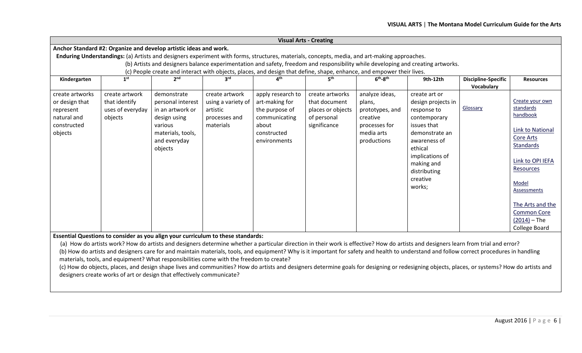|                                                                                                                       | <b>Visual Arts - Creating</b>                                                                                                    |                                                                   |                    |                                                                                                                                              |                   |                 |                    |                            |                        |  |  |  |
|-----------------------------------------------------------------------------------------------------------------------|----------------------------------------------------------------------------------------------------------------------------------|-------------------------------------------------------------------|--------------------|----------------------------------------------------------------------------------------------------------------------------------------------|-------------------|-----------------|--------------------|----------------------------|------------------------|--|--|--|
|                                                                                                                       |                                                                                                                                  | Anchor Standard #2: Organize and develop artistic ideas and work. |                    |                                                                                                                                              |                   |                 |                    |                            |                        |  |  |  |
|                                                                                                                       |                                                                                                                                  |                                                                   |                    | Enduring Understandings: (a) Artists and designers experiment with forms, structures, materials, concepts, media, and art-making approaches. |                   |                 |                    |                            |                        |  |  |  |
|                                                                                                                       | (b) Artists and designers balance experimentation and safety, freedom and responsibility while developing and creating artworks. |                                                                   |                    |                                                                                                                                              |                   |                 |                    |                            |                        |  |  |  |
| (c) People create and interact with objects, places, and design that define, shape, enhance, and empower their lives. |                                                                                                                                  |                                                                   |                    |                                                                                                                                              |                   |                 |                    |                            |                        |  |  |  |
| Kindergarten                                                                                                          | 1 <sup>st</sup>                                                                                                                  | 2 <sup>nd</sup>                                                   | 3 <sup>rd</sup>    | 4 <sup>th</sup>                                                                                                                              | 5 <sup>th</sup>   | $6th-8th$       | 9th-12th           | <b>Discipline-Specific</b> | <b>Resources</b>       |  |  |  |
|                                                                                                                       |                                                                                                                                  |                                                                   |                    |                                                                                                                                              |                   |                 |                    | Vocabulary                 |                        |  |  |  |
| create artworks                                                                                                       | create artwork                                                                                                                   | demonstrate                                                       | create artwork     | apply research to                                                                                                                            | create artworks   | analyze ideas,  | create art or      |                            |                        |  |  |  |
| or design that                                                                                                        | that identify                                                                                                                    | personal interest                                                 | using a variety of | art-making for                                                                                                                               | that document     | plans,          | design projects in |                            | Create your own        |  |  |  |
| represent                                                                                                             | uses of everyday                                                                                                                 | in an artwork or                                                  | artistic           | the purpose of                                                                                                                               | places or objects | prototypes, and | response to        | Glossary                   | standards              |  |  |  |
| natural and                                                                                                           | objects                                                                                                                          | design using                                                      | processes and      | communicating                                                                                                                                | of personal       | creative        | contemporary       |                            | handbook               |  |  |  |
| constructed                                                                                                           |                                                                                                                                  | various                                                           | materials          | about                                                                                                                                        | significance      | processes for   | issues that        |                            |                        |  |  |  |
| objects                                                                                                               |                                                                                                                                  | materials, tools,                                                 |                    | constructed                                                                                                                                  |                   | media arts      | demonstrate an     |                            | Link to National       |  |  |  |
|                                                                                                                       |                                                                                                                                  | and everyday                                                      |                    | environments                                                                                                                                 |                   | productions     | awareness of       |                            | Core Arts<br>Standards |  |  |  |
|                                                                                                                       |                                                                                                                                  | objects                                                           |                    |                                                                                                                                              |                   |                 | ethical            |                            |                        |  |  |  |
|                                                                                                                       |                                                                                                                                  |                                                                   |                    |                                                                                                                                              |                   |                 | implications of    |                            | Link to OPI IEFA       |  |  |  |
|                                                                                                                       |                                                                                                                                  |                                                                   |                    |                                                                                                                                              |                   |                 | making and         |                            |                        |  |  |  |
|                                                                                                                       |                                                                                                                                  |                                                                   |                    |                                                                                                                                              |                   |                 | distributing       |                            | Resources              |  |  |  |
|                                                                                                                       |                                                                                                                                  |                                                                   |                    |                                                                                                                                              |                   |                 | creative           |                            | Model                  |  |  |  |
|                                                                                                                       |                                                                                                                                  |                                                                   |                    |                                                                                                                                              |                   |                 | works;             |                            | Assessments            |  |  |  |
|                                                                                                                       |                                                                                                                                  |                                                                   |                    |                                                                                                                                              |                   |                 |                    |                            |                        |  |  |  |
|                                                                                                                       |                                                                                                                                  |                                                                   |                    |                                                                                                                                              |                   |                 |                    |                            | The Arts and the       |  |  |  |
|                                                                                                                       |                                                                                                                                  |                                                                   |                    |                                                                                                                                              |                   |                 |                    |                            | <b>Common Core</b>     |  |  |  |
|                                                                                                                       |                                                                                                                                  |                                                                   |                    |                                                                                                                                              |                   |                 |                    |                            | $(2014) - The$         |  |  |  |
|                                                                                                                       |                                                                                                                                  |                                                                   |                    |                                                                                                                                              |                   |                 |                    |                            | College Board          |  |  |  |

**Essential Questions to consider as you align your curriculum to these standards:**

(a) How do artists work? How do artists and designers determine whether a particular direction in their work is effective? How do artists and designers learn from trial and error? (b) How do artists and designers care for and maintain materials, tools, and equipment? Why is it important for safety and health to understand and follow correct procedures in handling materials, tools, and equipment? What responsibilities come with the freedom to create?

(c) How do objects, places, and design shape lives and communities? How do artists and designers determine goals for designing or redesigning objects, places, or systems? How do artists and designers create works of art or design that effectively communicate?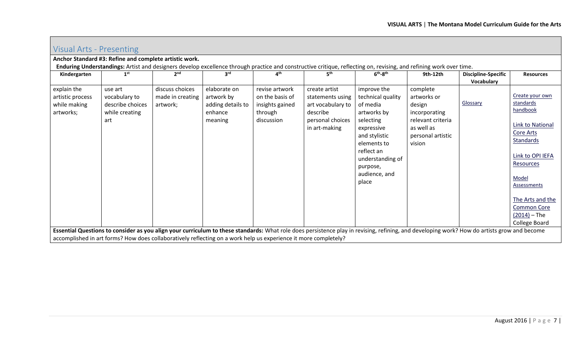| Visual Arts - Presenting                                     |                                                                                                                                                                                                                                                                                                                |                                                 |                                                                       |                                                                               |                                                                                                                                                                                       |                                                                                                                                                                                                |                                                                                                                      |                                          |                                                                                                                                                                                                                                                          |  |
|--------------------------------------------------------------|----------------------------------------------------------------------------------------------------------------------------------------------------------------------------------------------------------------------------------------------------------------------------------------------------------------|-------------------------------------------------|-----------------------------------------------------------------------|-------------------------------------------------------------------------------|---------------------------------------------------------------------------------------------------------------------------------------------------------------------------------------|------------------------------------------------------------------------------------------------------------------------------------------------------------------------------------------------|----------------------------------------------------------------------------------------------------------------------|------------------------------------------|----------------------------------------------------------------------------------------------------------------------------------------------------------------------------------------------------------------------------------------------------------|--|
|                                                              | Anchor Standard #3: Refine and complete artistic work.                                                                                                                                                                                                                                                         |                                                 |                                                                       |                                                                               |                                                                                                                                                                                       |                                                                                                                                                                                                |                                                                                                                      |                                          |                                                                                                                                                                                                                                                          |  |
| Kindergarten                                                 | 1 <sup>st</sup>                                                                                                                                                                                                                                                                                                | 2 <sub>nd</sub>                                 | 3 <sup>rd</sup>                                                       | 4 <sup>th</sup>                                                               | Enduring Understandings: Artist and designers develop excellence through practice and constructive critique, reflecting on, revising, and refining work over time.<br>5 <sup>th</sup> | $6th-8th$                                                                                                                                                                                      | 9th-12th                                                                                                             | <b>Discipline-Specific</b><br>Vocabulary | <b>Resources</b>                                                                                                                                                                                                                                         |  |
| explain the<br>artistic process<br>while making<br>artworks; | use art<br>vocabulary to<br>describe choices<br>while creating<br>art                                                                                                                                                                                                                                          | discuss choices<br>made in creating<br>artwork; | elaborate on<br>artwork by<br>adding details to<br>enhance<br>meaning | revise artwork<br>on the basis of<br>insights gained<br>through<br>discussion | create artist<br>statements using<br>art vocabulary to<br>describe<br>personal choices<br>in art-making                                                                               | improve the<br>technical quality<br>of media<br>artworks by<br>selecting<br>expressive<br>and stylistic<br>elements to<br>reflect an<br>understanding of<br>purpose,<br>audience, and<br>place | complete<br>artworks or<br>design<br>incorporating<br>relevant criteria<br>as well as<br>personal artistic<br>vision | Glossary                                 | Create your own<br>standards<br>handbook<br><b>Link to National</b><br>Core Arts<br><b>Standards</b><br>Link to OPI IEFA<br>Resources<br>Model<br><b>Assessments</b><br>The Arts and the<br><b>Common Core</b><br>$(2014) - The$<br><b>College Board</b> |  |
|                                                              | Essential Questions to consider as you align your curriculum to these standards: What role does persistence play in revising, refining, and developing work? How do artists grow and become<br>accomplished in art forms? How does collaboratively reflecting on a work help us experience it more completely? |                                                 |                                                                       |                                                                               |                                                                                                                                                                                       |                                                                                                                                                                                                |                                                                                                                      |                                          |                                                                                                                                                                                                                                                          |  |

<span id="page-6-0"></span> $\sqrt{2}$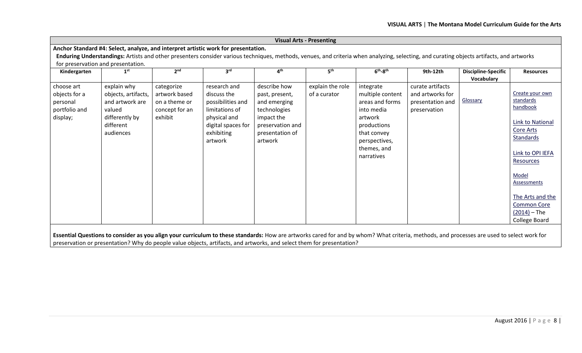|                                                                      | <b>Visual Arts - Presenting</b>                                                                             |                                                                           |                                                                                                                                                                                          |                                                                                                                                |                                  |                                                                                                                                                       |                                                                          |                                          |                                                                                                                                                                                                                                            |  |  |
|----------------------------------------------------------------------|-------------------------------------------------------------------------------------------------------------|---------------------------------------------------------------------------|------------------------------------------------------------------------------------------------------------------------------------------------------------------------------------------|--------------------------------------------------------------------------------------------------------------------------------|----------------------------------|-------------------------------------------------------------------------------------------------------------------------------------------------------|--------------------------------------------------------------------------|------------------------------------------|--------------------------------------------------------------------------------------------------------------------------------------------------------------------------------------------------------------------------------------------|--|--|
|                                                                      |                                                                                                             |                                                                           | Anchor Standard #4: Select, analyze, and interpret artistic work for presentation.                                                                                                       |                                                                                                                                |                                  |                                                                                                                                                       |                                                                          |                                          |                                                                                                                                                                                                                                            |  |  |
|                                                                      |                                                                                                             |                                                                           | Enduring Understandings: Artists and other presenters consider various techniques, methods, venues, and criteria when analyzing, selecting, and curating objects artifacts, and artworks |                                                                                                                                |                                  |                                                                                                                                                       |                                                                          |                                          |                                                                                                                                                                                                                                            |  |  |
| for preservation and presentation.                                   |                                                                                                             |                                                                           |                                                                                                                                                                                          |                                                                                                                                |                                  |                                                                                                                                                       |                                                                          |                                          |                                                                                                                                                                                                                                            |  |  |
| Kindergarten                                                         | 1 <sup>st</sup>                                                                                             | 2 <sup>nd</sup>                                                           | 3 <sup>rd</sup>                                                                                                                                                                          | 4 <sup>th</sup>                                                                                                                | 5 <sup>th</sup>                  | $6th-8th$                                                                                                                                             | 9th-12th                                                                 | <b>Discipline-Specific</b><br>Vocabulary | <b>Resources</b>                                                                                                                                                                                                                           |  |  |
| choose art<br>objects for a<br>personal<br>portfolio and<br>display; | explain why<br>objects, artifacts,<br>and artwork are<br>valued<br>differently by<br>different<br>audiences | categorize<br>artwork based<br>on a theme or<br>concept for an<br>exhibit | research and<br>discuss the<br>possibilities and<br>limitations of<br>physical and<br>digital spaces for<br>exhibiting<br>artwork                                                        | describe how<br>past, present,<br>and emerging<br>technologies<br>impact the<br>preservation and<br>presentation of<br>artwork | explain the role<br>of a curator | integrate<br>multiple content<br>areas and forms<br>into media<br>artwork<br>productions<br>that convey<br>perspectives,<br>themes, and<br>narratives | curate artifacts<br>and artworks for<br>presentation and<br>preservation | <b>Glossary</b>                          | Create your own<br>standards<br>handbook<br><b>Link to National</b><br>Core Arts<br><b>Standards</b><br>Link to OPI IEFA<br>Resources<br>Model<br>Assessments<br>The Arts and the<br><b>Common Core</b><br>$(2014) - The$<br>College Board |  |  |
|                                                                      |                                                                                                             |                                                                           |                                                                                                                                                                                          |                                                                                                                                |                                  |                                                                                                                                                       |                                                                          |                                          |                                                                                                                                                                                                                                            |  |  |

**Essential Questions to consider as you align your curriculum to these standards:** How are artworks cared for and by whom? What criteria, methods, and processes are used to select work for preservation or presentation? Why do people value objects, artifacts, and artworks, and select them for presentation?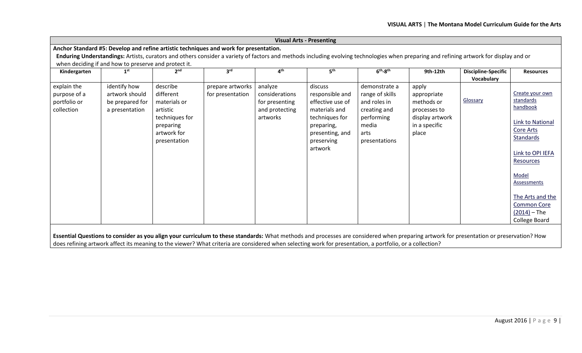|                                                           |                                                                     |                                                                                                                 |                                                                                                                                                                                         |                                                                           | <b>Visual Arts - Presenting</b>                                                                                                             |                                                                                                                  |                                                                                                 |                                          |                                                                                                                                                                                                                                                   |
|-----------------------------------------------------------|---------------------------------------------------------------------|-----------------------------------------------------------------------------------------------------------------|-----------------------------------------------------------------------------------------------------------------------------------------------------------------------------------------|---------------------------------------------------------------------------|---------------------------------------------------------------------------------------------------------------------------------------------|------------------------------------------------------------------------------------------------------------------|-------------------------------------------------------------------------------------------------|------------------------------------------|---------------------------------------------------------------------------------------------------------------------------------------------------------------------------------------------------------------------------------------------------|
|                                                           |                                                                     |                                                                                                                 | Anchor Standard #5: Develop and refine artistic techniques and work for presentation.                                                                                                   |                                                                           |                                                                                                                                             |                                                                                                                  |                                                                                                 |                                          |                                                                                                                                                                                                                                                   |
|                                                           |                                                                     |                                                                                                                 | Enduring Understandings: Artists, curators and others consider a variety of factors and methods including evolving technologies when preparing and refining artwork for display and or  |                                                                           |                                                                                                                                             |                                                                                                                  |                                                                                                 |                                          |                                                                                                                                                                                                                                                   |
|                                                           | when deciding if and how to preserve and protect it.                |                                                                                                                 |                                                                                                                                                                                         |                                                                           |                                                                                                                                             |                                                                                                                  |                                                                                                 |                                          |                                                                                                                                                                                                                                                   |
| Kindergarten                                              | 1 <sup>st</sup>                                                     | 2 <sub>nd</sub>                                                                                                 | 3 <sup>rd</sup>                                                                                                                                                                         | 4 <sup>th</sup>                                                           | 5 <sup>th</sup>                                                                                                                             | $6th-8th$                                                                                                        | 9th-12th                                                                                        | <b>Discipline-Specific</b><br>Vocabulary | <b>Resources</b>                                                                                                                                                                                                                                  |
| explain the<br>purpose of a<br>portfolio or<br>collection | identify how<br>artwork should<br>be prepared for<br>a presentation | describe<br>different<br>materials or<br>artistic<br>techniques for<br>preparing<br>artwork for<br>presentation | prepare artworks<br>for presentation                                                                                                                                                    | analyze<br>considerations<br>for presenting<br>and protecting<br>artworks | discuss<br>responsible and<br>effective use of<br>materials and<br>techniques for<br>preparing,<br>presenting, and<br>preserving<br>artwork | demonstrate a<br>range of skills<br>and roles in<br>creating and<br>performing<br>media<br>arts<br>presentations | apply<br>appropriate<br>methods or<br>processes to<br>display artwork<br>in a specific<br>place | Glossary                                 | Create your own<br>standards<br>handbook<br><b>Link to National</b><br><b>Core Arts</b><br>Standards<br>Link to OPI IEFA<br>Resources<br>Model<br><b>Assessments</b><br>The Arts and the<br><b>Common Core</b><br>$(2014) - The$<br>College Board |
|                                                           |                                                                     |                                                                                                                 | Essential Questions to consider as you align your curriculum to these standards: What methods and processes are considered when preparing artwork for presentation or preservation? How |                                                                           |                                                                                                                                             |                                                                                                                  |                                                                                                 |                                          |                                                                                                                                                                                                                                                   |

does refining artwork affect its meaning to the viewer? What criteria are considered when selecting work for presentation, a portfolio, or a collection?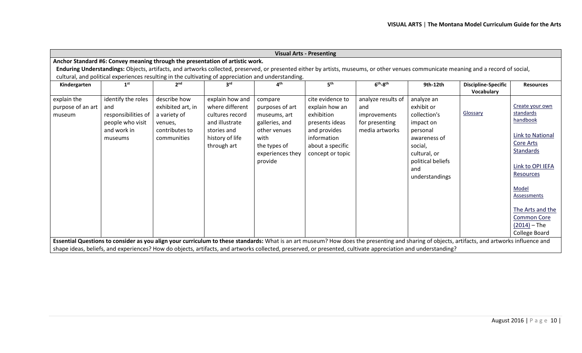| <b>Visual Arts - Presenting</b>                                                                     |                                                                                                |                                                                                               |                                                                                                                          |                                                                                                                                     |                                                                                                                                           |                                                                                                                                                                                                                                                                                |                                                                                                                                                            |                                          |                                                                                                                                                                                                                                            |  |  |
|-----------------------------------------------------------------------------------------------------|------------------------------------------------------------------------------------------------|-----------------------------------------------------------------------------------------------|--------------------------------------------------------------------------------------------------------------------------|-------------------------------------------------------------------------------------------------------------------------------------|-------------------------------------------------------------------------------------------------------------------------------------------|--------------------------------------------------------------------------------------------------------------------------------------------------------------------------------------------------------------------------------------------------------------------------------|------------------------------------------------------------------------------------------------------------------------------------------------------------|------------------------------------------|--------------------------------------------------------------------------------------------------------------------------------------------------------------------------------------------------------------------------------------------|--|--|
|                                                                                                     | Anchor Standard #6: Convey meaning through the presentation of artistic work.                  |                                                                                               |                                                                                                                          |                                                                                                                                     |                                                                                                                                           |                                                                                                                                                                                                                                                                                |                                                                                                                                                            |                                          |                                                                                                                                                                                                                                            |  |  |
|                                                                                                     |                                                                                                |                                                                                               |                                                                                                                          |                                                                                                                                     |                                                                                                                                           | Enduring Understandings: Objects, artifacts, and artworks collected, preserved, or presented either by artists, museums, or other venues communicate meaning and a record of social,                                                                                           |                                                                                                                                                            |                                          |                                                                                                                                                                                                                                            |  |  |
| cultural, and political experiences resulting in the cultivating of appreciation and understanding. |                                                                                                |                                                                                               |                                                                                                                          |                                                                                                                                     |                                                                                                                                           |                                                                                                                                                                                                                                                                                |                                                                                                                                                            |                                          |                                                                                                                                                                                                                                            |  |  |
| Kindergarten                                                                                        | 1 <sup>st</sup>                                                                                | <b>o</b> nd                                                                                   | Suq                                                                                                                      | ⊿th                                                                                                                                 | 5 <sup>th</sup>                                                                                                                           | $6th-8th$                                                                                                                                                                                                                                                                      | 9th-12th                                                                                                                                                   | <b>Discipline-Specific</b><br>Vocabulary | <b>Resources</b>                                                                                                                                                                                                                           |  |  |
| explain the<br>purpose of an art<br>museum                                                          | identify the roles<br>and<br>responsibilities of<br>people who visit<br>and work in<br>museums | describe how<br>exhibited art, in<br>a variety of<br>venues,<br>contributes to<br>communities | explain how and<br>where different<br>cultures record<br>and illustrate<br>stories and<br>history of life<br>through art | compare<br>purposes of art<br>museums, art<br>galleries, and<br>other venues<br>with<br>the types of<br>experiences they<br>provide | cite evidence to<br>explain how an<br>exhibition<br>presents ideas<br>and provides<br>information<br>about a specific<br>concept or topic | analyze results of<br>and<br>improvements<br>for presenting<br>media artworks<br>Essential Questions to consider as you align your curriculum to these standards: What is an art museum? How does the presenting and sharing of objects, artifacts, and artworks influence and | analyze an<br>exhibit or<br>collection's<br>impact on<br>personal<br>awareness of<br>social,<br>cultural, or<br>political beliefs<br>and<br>understandings | Glossary                                 | Create your own<br>standards<br>handbook<br><b>Link to National</b><br>Core Arts<br>Standards<br>Link to OPI IEFA<br>Resources<br>Model<br>Assessments<br>The Arts and the<br><b>Common Core</b><br>$(2014) - The$<br><b>College Board</b> |  |  |
|                                                                                                     |                                                                                                |                                                                                               |                                                                                                                          |                                                                                                                                     |                                                                                                                                           | shape ideas, beliefs, and experiences? How do objects, artifacts, and artworks collected, preserved, or presented, cultivate appreciation and understanding?                                                                                                                   |                                                                                                                                                            |                                          |                                                                                                                                                                                                                                            |  |  |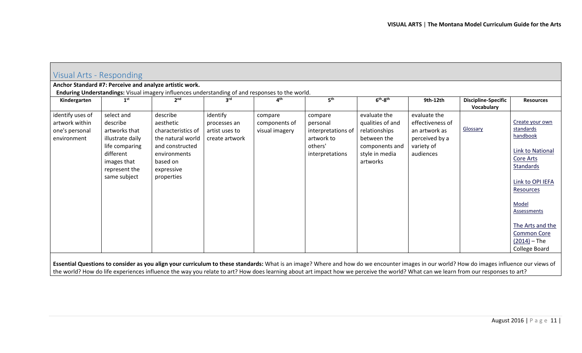<span id="page-10-0"></span>

|                                                                     |                                                                                                                                            | Anchor Standard #7: Perceive and analyze artistic work.<br>Enduring Understandings: Visual imagery influences understanding of and responses to the world. |                                                              |                                            |                                                                                       |                                                                                                                  |                                                                                                |                                          |                                                                                                                                                                                                                                                   |
|---------------------------------------------------------------------|--------------------------------------------------------------------------------------------------------------------------------------------|------------------------------------------------------------------------------------------------------------------------------------------------------------|--------------------------------------------------------------|--------------------------------------------|---------------------------------------------------------------------------------------|------------------------------------------------------------------------------------------------------------------|------------------------------------------------------------------------------------------------|------------------------------------------|---------------------------------------------------------------------------------------------------------------------------------------------------------------------------------------------------------------------------------------------------|
| Kindergarten                                                        | 1 <sup>st</sup>                                                                                                                            | 2 <sub>nd</sub>                                                                                                                                            | $3^{\text{rd}}$                                              | ⊿ <sup>th</sup>                            | 5 <sup>th</sup>                                                                       | $6th-8th$                                                                                                        | 9th-12th                                                                                       | <b>Discipline-Specific</b><br>Vocabulary | <b>Resources</b>                                                                                                                                                                                                                                  |
| identify uses of<br>artwork within<br>one's personal<br>environment | select and<br>describe<br>artworks that<br>illustrate daily<br>life comparing<br>different<br>images that<br>represent the<br>same subject | describe<br>aesthetic<br>characteristics of<br>the natural world<br>and constructed<br>environments<br>based on<br>expressive<br>properties                | identify<br>processes an<br>artist uses to<br>create artwork | compare<br>components of<br>visual imagery | compare<br>personal<br>interpretations of<br>artwork to<br>others'<br>interpretations | evaluate the<br>qualities of and<br>relationships<br>between the<br>components and<br>style in media<br>artworks | evaluate the<br>effectiveness of<br>an artwork as<br>perceived by a<br>variety of<br>audiences | Glossary                                 | Create your own<br>standards<br>handbook<br><b>Link to National</b><br><b>Core Arts</b><br>Standards<br>Link to OPI IEFA<br>Resources<br>Model<br>Assessments<br>The Arts and the<br><b>Common Core</b><br>$(2014)$ – The<br><b>College Board</b> |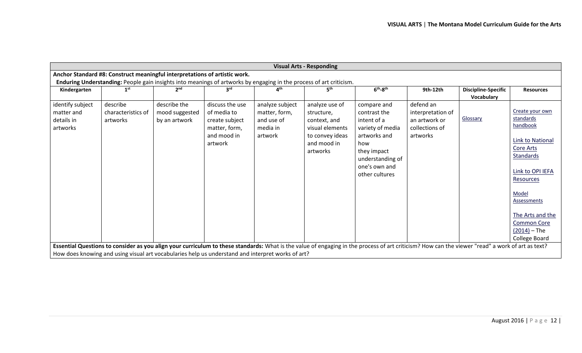|                                                          | <b>Visual Arts - Responding</b>                                                                                     |                                                 |                                                                                             |                                                                       |                                                                                                               |                                                                                                                                                                                                  |                                                                               |                                          |                                                                                                                                                                                                                                                   |  |  |
|----------------------------------------------------------|---------------------------------------------------------------------------------------------------------------------|-------------------------------------------------|---------------------------------------------------------------------------------------------|-----------------------------------------------------------------------|---------------------------------------------------------------------------------------------------------------|--------------------------------------------------------------------------------------------------------------------------------------------------------------------------------------------------|-------------------------------------------------------------------------------|------------------------------------------|---------------------------------------------------------------------------------------------------------------------------------------------------------------------------------------------------------------------------------------------------|--|--|
|                                                          | Anchor Standard #8: Construct meaningful interpretations of artistic work.                                          |                                                 |                                                                                             |                                                                       |                                                                                                               |                                                                                                                                                                                                  |                                                                               |                                          |                                                                                                                                                                                                                                                   |  |  |
|                                                          | Enduring Understanding: People gain insights into meanings of artworks by engaging in the process of art criticism. |                                                 |                                                                                             |                                                                       |                                                                                                               |                                                                                                                                                                                                  |                                                                               |                                          |                                                                                                                                                                                                                                                   |  |  |
| Kindergarten                                             | 1 <sup>st</sup>                                                                                                     | 2 <sub>nd</sub>                                 | 3 <sup>rd</sup>                                                                             | ⊿th                                                                   | 5 <sup>th</sup>                                                                                               | $6th-8th$                                                                                                                                                                                        | 9th-12th                                                                      | <b>Discipline-Specific</b><br>Vocabulary | <b>Resources</b>                                                                                                                                                                                                                                  |  |  |
| identify subject<br>matter and<br>details in<br>artworks | describe<br>characteristics of<br>artworks                                                                          | describe the<br>mood suggested<br>by an artwork | discuss the use<br>of media to<br>create subject<br>matter, form,<br>and mood in<br>artwork | analyze subject<br>matter, form,<br>and use of<br>media in<br>artwork | analyze use of<br>structure,<br>context, and<br>visual elements<br>to convey ideas<br>and mood in<br>artworks | compare and<br>contrast the<br>intent of a<br>variety of media<br>artworks and<br>how<br>they impact<br>understanding of<br>one's own and<br>other cultures                                      | defend an<br>interpretation of<br>an artwork or<br>collections of<br>artworks | Glossary                                 | Create your own<br>standards<br>handbook<br><b>Link to National</b><br>Core Arts<br><b>Standards</b><br>Link to OPI IEFA<br><b>Resources</b><br>Model<br>Assessments<br>The Arts and the<br><b>Common Core</b><br>$(2014)$ – The<br>College Board |  |  |
|                                                          | How does knowing and using visual art vocabularies help us understand and interpret works of art?                   |                                                 |                                                                                             |                                                                       |                                                                                                               | Essential Questions to consider as you align your curriculum to these standards: What is the value of engaging in the process of art criticism? How can the viewer "read" a work of art as text? |                                                                               |                                          |                                                                                                                                                                                                                                                   |  |  |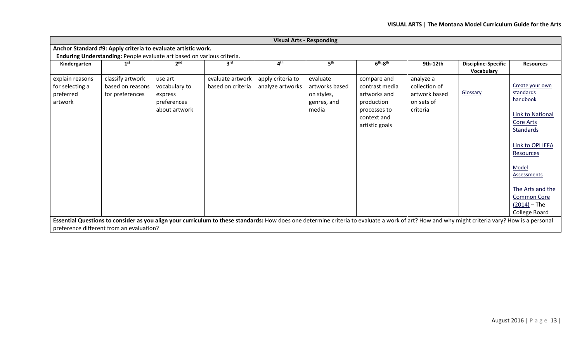|                                                            |                                                                        |                                                                     |                                       |                                       | <b>Visual Arts - Responding</b>                                  |                                                                                                              |                                                                       |                                                                                                                                                                                                |                                                                                                                                                                                                                                            |
|------------------------------------------------------------|------------------------------------------------------------------------|---------------------------------------------------------------------|---------------------------------------|---------------------------------------|------------------------------------------------------------------|--------------------------------------------------------------------------------------------------------------|-----------------------------------------------------------------------|------------------------------------------------------------------------------------------------------------------------------------------------------------------------------------------------|--------------------------------------------------------------------------------------------------------------------------------------------------------------------------------------------------------------------------------------------|
|                                                            | Anchor Standard #9: Apply criteria to evaluate artistic work.          |                                                                     |                                       |                                       |                                                                  |                                                                                                              |                                                                       |                                                                                                                                                                                                |                                                                                                                                                                                                                                            |
|                                                            | Enduring Understanding: People evaluate art based on various criteria. |                                                                     |                                       |                                       |                                                                  |                                                                                                              |                                                                       |                                                                                                                                                                                                |                                                                                                                                                                                                                                            |
| Kindergarten                                               | 1 <sup>st</sup>                                                        | 2 <sub>nd</sub>                                                     | 3 <sup>rd</sup>                       | 4 <sup>th</sup>                       | 5 <sup>th</sup>                                                  | $6th-8th$                                                                                                    | 9th-12th                                                              | <b>Discipline-Specific</b><br>Vocabulary                                                                                                                                                       | <b>Resources</b>                                                                                                                                                                                                                           |
| explain reasons<br>for selecting a<br>preferred<br>artwork | classify artwork<br>based on reasons<br>for preferences                | use art<br>vocabulary to<br>express<br>preferences<br>about artwork | evaluate artwork<br>based on criteria | apply criteria to<br>analyze artworks | evaluate<br>artworks based<br>on styles,<br>genres, and<br>media | compare and<br>contrast media<br>artworks and<br>production<br>processes to<br>context and<br>artistic goals | analyze a<br>collection of<br>artwork based<br>on sets of<br>criteria | Glossary                                                                                                                                                                                       | Create your own<br>standards<br>handbook<br><b>Link to National</b><br>Core Arts<br><b>Standards</b><br>Link to OPI IEFA<br>Resources<br>Model<br>Assessments<br>The Arts and the<br><b>Common Core</b><br>$(2014)$ – The<br>College Board |
|                                                            | preference different from an evaluation?                               |                                                                     |                                       |                                       |                                                                  |                                                                                                              |                                                                       | Essential Questions to consider as you align your curriculum to these standards: How does one determine criteria to evaluate a work of art? How and why might criteria vary? How is a personal |                                                                                                                                                                                                                                            |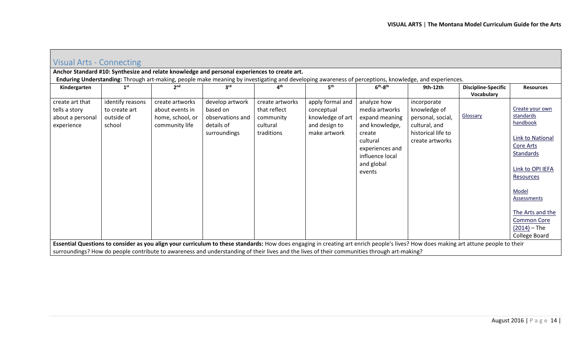| Visual Arts - Connecting                                           |                                                                                                                                                                                                                                                                                                                                     |                                                                          |                                                                                              |                                                                        |                                                                                                                                                       |                                                                                                                                                       |                                                                                                            |                                          |                                                                                                                                                                                                                                            |  |
|--------------------------------------------------------------------|-------------------------------------------------------------------------------------------------------------------------------------------------------------------------------------------------------------------------------------------------------------------------------------------------------------------------------------|--------------------------------------------------------------------------|----------------------------------------------------------------------------------------------|------------------------------------------------------------------------|-------------------------------------------------------------------------------------------------------------------------------------------------------|-------------------------------------------------------------------------------------------------------------------------------------------------------|------------------------------------------------------------------------------------------------------------|------------------------------------------|--------------------------------------------------------------------------------------------------------------------------------------------------------------------------------------------------------------------------------------------|--|
|                                                                    |                                                                                                                                                                                                                                                                                                                                     |                                                                          | Anchor Standard #10: Synthesize and relate knowledge and personal experiences to create art. |                                                                        |                                                                                                                                                       |                                                                                                                                                       |                                                                                                            |                                          |                                                                                                                                                                                                                                            |  |
|                                                                    |                                                                                                                                                                                                                                                                                                                                     |                                                                          |                                                                                              |                                                                        | Enduring Understanding: Through art-making, people make meaning by investigating and developing awareness of perceptions, knowledge, and experiences. |                                                                                                                                                       |                                                                                                            |                                          |                                                                                                                                                                                                                                            |  |
| Kindergarten                                                       | 1 <sup>st</sup>                                                                                                                                                                                                                                                                                                                     | 2 <sub>nd</sub>                                                          | 3 <sup>rd</sup>                                                                              | 4 <sup>th</sup>                                                        | 5 <sup>th</sup>                                                                                                                                       | $6th-8th$                                                                                                                                             | 9th-12th                                                                                                   | <b>Discipline-Specific</b><br>Vocabulary | <b>Resources</b>                                                                                                                                                                                                                           |  |
| create art that<br>tells a story<br>about a personal<br>experience | identify reasons<br>to create art<br>outside of<br>school                                                                                                                                                                                                                                                                           | create artworks<br>about events in<br>home, school, or<br>community life | develop artwork<br>based on<br>observations and<br>details of<br>surroundings                | create artworks<br>that reflect<br>community<br>cultural<br>traditions | apply formal and<br>conceptual<br>knowledge of art<br>and design to<br>make artwork                                                                   | analyze how<br>media artworks<br>expand meaning<br>and knowledge,<br>create<br>cultural<br>experiences and<br>influence local<br>and global<br>events | incorporate<br>knowledge of<br>personal, social,<br>cultural, and<br>historical life to<br>create artworks | Glossary                                 | Create your own<br>standards<br>handbook<br>Link to National<br><b>Core Arts</b><br>Standards<br>Link to OPI IEFA<br>Resources<br>Model<br>Assessments<br>The Arts and the<br><b>Common Core</b><br>$(2014)$ – The<br><b>College Board</b> |  |
|                                                                    | Essential Questions to consider as you align your curriculum to these standards: How does engaging in creating art enrich people's lives? How does making art attune people to their<br>surroundings? How do people contribute to awareness and understanding of their lives and the lives of their communities through art-making? |                                                                          |                                                                                              |                                                                        |                                                                                                                                                       |                                                                                                                                                       |                                                                                                            |                                          |                                                                                                                                                                                                                                            |  |

<span id="page-13-0"></span> $\sqrt{ }$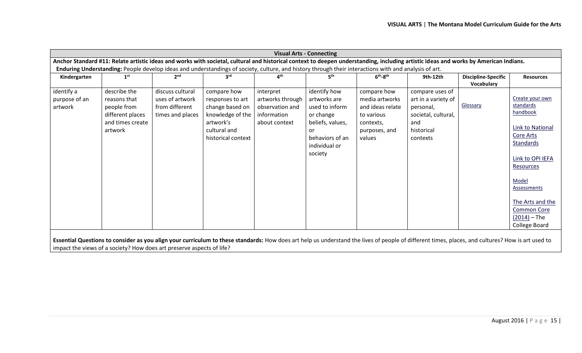| <b>Visual Arts - Connecting</b>                                                                                                                                                                   |                                                                                                |                                                                           |                                                                                                                                                       |                                                                                  |                                                                                                                                      |                                                                                                         |                                                                                                             |                                          |                                                                                                                                                                                                                              |
|---------------------------------------------------------------------------------------------------------------------------------------------------------------------------------------------------|------------------------------------------------------------------------------------------------|---------------------------------------------------------------------------|-------------------------------------------------------------------------------------------------------------------------------------------------------|----------------------------------------------------------------------------------|--------------------------------------------------------------------------------------------------------------------------------------|---------------------------------------------------------------------------------------------------------|-------------------------------------------------------------------------------------------------------------|------------------------------------------|------------------------------------------------------------------------------------------------------------------------------------------------------------------------------------------------------------------------------|
| Anchor Standard #11: Relate artistic ideas and works with societal, cultural and historical context to deepen understanding, including artistic ideas and works by American Indians.              |                                                                                                |                                                                           |                                                                                                                                                       |                                                                                  |                                                                                                                                      |                                                                                                         |                                                                                                             |                                          |                                                                                                                                                                                                                              |
|                                                                                                                                                                                                   |                                                                                                |                                                                           | Enduring Understanding: People develop ideas and understandings of society, culture, and history through their interactions with and analysis of art. |                                                                                  |                                                                                                                                      |                                                                                                         |                                                                                                             |                                          |                                                                                                                                                                                                                              |
| Kindergarten                                                                                                                                                                                      | 1 <sup>st</sup>                                                                                | 2 <sub>nd</sub>                                                           | 3 <sup>rd</sup>                                                                                                                                       | $\mathbf{A}^{\text{th}}$                                                         | ςth                                                                                                                                  | $6th-8th$                                                                                               | 9th-12th                                                                                                    | <b>Discipline-Specific</b><br>Vocabulary | <b>Resources</b>                                                                                                                                                                                                             |
| identify a<br>purpose of an<br>artwork                                                                                                                                                            | describe the<br>reasons that<br>people from<br>different places<br>and times create<br>artwork | discuss cultural<br>uses of artwork<br>from different<br>times and places | compare how<br>responses to art<br>change based on<br>knowledge of the<br>artwork's<br>cultural and<br>historical context                             | interpret<br>artworks through<br>observation and<br>information<br>about context | identify how<br>artworks are<br>used to inform<br>or change<br>beliefs, values,<br>or<br>behaviors of an<br>individual or<br>society | compare how<br>media artworks<br>and ideas relate<br>to various<br>contexts,<br>purposes, and<br>values | compare uses of<br>art in a variety of<br>personal,<br>societal, cultural,<br>and<br>historical<br>contexts | Glossary                                 | Create your own<br>standards<br>handbook<br>Link to National<br>Core Arts<br>Standards<br>Link to OPI IEFA<br>Resources<br>Model<br>Assessments<br>The Arts and the<br><b>Common Core</b><br>$(2014) - The$<br>College Board |
| Essential Questions to consider as you align your curriculum to these standards: How does art help us understand the lives of people of different times, places, and cultures? How is art used to |                                                                                                |                                                                           |                                                                                                                                                       |                                                                                  |                                                                                                                                      |                                                                                                         |                                                                                                             |                                          |                                                                                                                                                                                                                              |

impact the views of a society? How does art preserve aspects of life?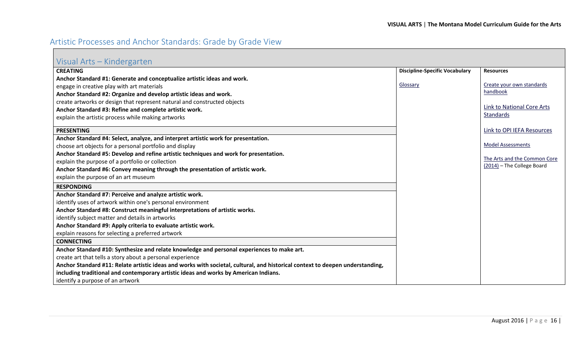## <span id="page-15-0"></span>Artistic Processes and Anchor Standards: Grade by Grade View

<span id="page-15-1"></span>

|  | Visual Arts - Kindergarten |
|--|----------------------------|
|  |                            |

| VISUALMES INTIUCI RUI LUIT                                                                                                    |                                       |                              |
|-------------------------------------------------------------------------------------------------------------------------------|---------------------------------------|------------------------------|
| <b>CREATING</b>                                                                                                               | <b>Discipline-Specific Vocabulary</b> | <b>Resources</b>             |
| Anchor Standard #1: Generate and conceptualize artistic ideas and work.                                                       |                                       |                              |
| engage in creative play with art materials                                                                                    | Glossary                              | Create your own standards    |
| Anchor Standard #2: Organize and develop artistic ideas and work.                                                             |                                       | handbook                     |
| create artworks or design that represent natural and constructed objects                                                      |                                       |                              |
| Anchor Standard #3: Refine and complete artistic work.                                                                        |                                       | Link to National Core Arts   |
| explain the artistic process while making artworks                                                                            |                                       | Standards                    |
| <b>PRESENTING</b>                                                                                                             |                                       | Link to OPI IEFA Resources   |
|                                                                                                                               |                                       |                              |
| Anchor Standard #4: Select, analyze, and interpret artistic work for presentation.                                            |                                       | <b>Model Assessments</b>     |
| choose art objects for a personal portfolio and display                                                                       |                                       |                              |
| Anchor Standard #5: Develop and refine artistic techniques and work for presentation.                                         |                                       | The Arts and the Common Core |
| explain the purpose of a portfolio or collection                                                                              |                                       | (2014) - The College Board   |
| Anchor Standard #6: Convey meaning through the presentation of artistic work.                                                 |                                       |                              |
| explain the purpose of an art museum                                                                                          |                                       |                              |
| <b>RESPONDING</b>                                                                                                             |                                       |                              |
| Anchor Standard #7: Perceive and analyze artistic work.                                                                       |                                       |                              |
| identify uses of artwork within one's personal environment                                                                    |                                       |                              |
| Anchor Standard #8: Construct meaningful interpretations of artistic works.                                                   |                                       |                              |
| identify subject matter and details in artworks                                                                               |                                       |                              |
| Anchor Standard #9: Apply criteria to evaluate artistic work.                                                                 |                                       |                              |
| explain reasons for selecting a preferred artwork                                                                             |                                       |                              |
| <b>CONNECTING</b>                                                                                                             |                                       |                              |
| Anchor Standard #10: Synthesize and relate knowledge and personal experiences to make art.                                    |                                       |                              |
| create art that tells a story about a personal experience                                                                     |                                       |                              |
| Anchor Standard #11: Relate artistic ideas and works with societal, cultural, and historical context to deepen understanding, |                                       |                              |
| including traditional and contemporary artistic ideas and works by American Indians.                                          |                                       |                              |
| identify a purpose of an artwork                                                                                              |                                       |                              |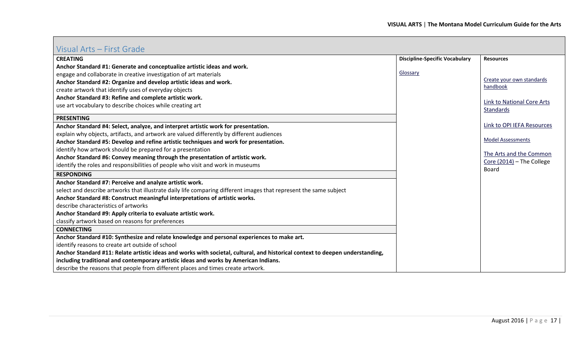#### <span id="page-16-0"></span>Visual Arts – First Grade

| VISUALAILS TIISLUI AUC                                                                                                        |                                       |                                             |
|-------------------------------------------------------------------------------------------------------------------------------|---------------------------------------|---------------------------------------------|
| <b>CREATING</b>                                                                                                               | <b>Discipline-Specific Vocabulary</b> | <b>Resources</b>                            |
| Anchor Standard #1: Generate and conceptualize artistic ideas and work.                                                       |                                       |                                             |
| engage and collaborate in creative investigation of art materials                                                             | Glossary                              |                                             |
| Anchor Standard #2: Organize and develop artistic ideas and work.                                                             |                                       | Create your own standards                   |
| create artwork that identify uses of everyday objects                                                                         |                                       | handbook                                    |
| Anchor Standard #3: Refine and complete artistic work.                                                                        |                                       | Link to National Core Arts                  |
| use art vocabulary to describe choices while creating art                                                                     |                                       | <b>Standards</b>                            |
| <b>PRESENTING</b>                                                                                                             |                                       |                                             |
| Anchor Standard #4: Select, analyze, and interpret artistic work for presentation.                                            |                                       | Link to OPI IEFA Resources                  |
| explain why objects, artifacts, and artwork are valued differently by different audiences                                     |                                       |                                             |
| Anchor Standard #5: Develop and refine artistic techniques and work for presentation.                                         |                                       | <b>Model Assessments</b>                    |
| identify how artwork should be prepared for a presentation                                                                    |                                       |                                             |
| Anchor Standard #6: Convey meaning through the presentation of artistic work.                                                 |                                       | The Arts and the Common                     |
| identify the roles and responsibilities of people who visit and work in museums                                               |                                       | Core $(2014)$ – The College<br><b>Board</b> |
| <b>RESPONDING</b>                                                                                                             |                                       |                                             |
| Anchor Standard #7: Perceive and analyze artistic work.                                                                       |                                       |                                             |
| select and describe artworks that illustrate daily life comparing different images that represent the same subject            |                                       |                                             |
| Anchor Standard #8: Construct meaningful interpretations of artistic works.                                                   |                                       |                                             |
| describe characteristics of artworks                                                                                          |                                       |                                             |
| Anchor Standard #9: Apply criteria to evaluate artistic work.                                                                 |                                       |                                             |
| classify artwork based on reasons for preferences                                                                             |                                       |                                             |
| <b>CONNECTING</b>                                                                                                             |                                       |                                             |
| Anchor Standard #10: Synthesize and relate knowledge and personal experiences to make art.                                    |                                       |                                             |
| identify reasons to create art outside of school                                                                              |                                       |                                             |
| Anchor Standard #11: Relate artistic ideas and works with societal, cultural, and historical context to deepen understanding, |                                       |                                             |
| including traditional and contemporary artistic ideas and works by American Indians.                                          |                                       |                                             |
| describe the reasons that people from different places and times create artwork.                                              |                                       |                                             |
|                                                                                                                               |                                       |                                             |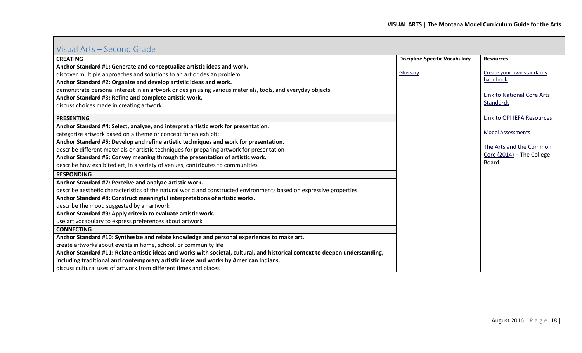### <span id="page-17-0"></span>Visual Arts – Second Grade

| <b>Discipline-Specific Vocabulary</b><br><b>CREATING</b><br><b>Resources</b><br>Anchor Standard #1: Generate and conceptualize artistic ideas and work.<br>Create your own standards<br>Glossary<br>discover multiple approaches and solutions to an art or design problem<br>handbook<br>Anchor Standard #2: Organize and develop artistic ideas and work.<br>demonstrate personal interest in an artwork or design using various materials, tools, and everyday objects<br>Link to National Core Arts<br>Anchor Standard #3: Refine and complete artistic work.<br><b>Standards</b><br>discuss choices made in creating artwork<br>Link to OPI IEFA Resources<br><b>PRESENTING</b><br>Anchor Standard #4: Select, analyze, and interpret artistic work for presentation.<br><b>Model Assessments</b><br>categorize artwork based on a theme or concept for an exhibit;<br>Anchor Standard #5: Develop and refine artistic techniques and work for presentation.<br>The Arts and the Common<br>describe different materials or artistic techniques for preparing artwork for presentation<br>Core (2014) - The College<br>Anchor Standard #6: Convey meaning through the presentation of artistic work.<br>Board<br>describe how exhibited art, in a variety of venues, contributes to communities<br><b>RESPONDING</b><br>Anchor Standard #7: Perceive and analyze artistic work.<br>describe aesthetic characteristics of the natural world and constructed environments based on expressive properties<br>Anchor Standard #8: Construct meaningful interpretations of artistic works.<br>describe the mood suggested by an artwork<br>Anchor Standard #9: Apply criteria to evaluate artistic work.<br>use art vocabulary to express preferences about artwork<br><b>CONNECTING</b><br>Anchor Standard #10: Synthesize and relate knowledge and personal experiences to make art.<br>create artworks about events in home, school, or community life<br>Anchor Standard #11: Relate artistic ideas and works with societal, cultural, and historical context to deepen understanding,<br>including traditional and contemporary artistic ideas and works by American Indians.<br>discuss cultural uses of artwork from different times and places | VISUULITILIS - SEEDITU OTUUE |  |
|-------------------------------------------------------------------------------------------------------------------------------------------------------------------------------------------------------------------------------------------------------------------------------------------------------------------------------------------------------------------------------------------------------------------------------------------------------------------------------------------------------------------------------------------------------------------------------------------------------------------------------------------------------------------------------------------------------------------------------------------------------------------------------------------------------------------------------------------------------------------------------------------------------------------------------------------------------------------------------------------------------------------------------------------------------------------------------------------------------------------------------------------------------------------------------------------------------------------------------------------------------------------------------------------------------------------------------------------------------------------------------------------------------------------------------------------------------------------------------------------------------------------------------------------------------------------------------------------------------------------------------------------------------------------------------------------------------------------------------------------------------------------------------------------------------------------------------------------------------------------------------------------------------------------------------------------------------------------------------------------------------------------------------------------------------------------------------------------------------------------------------------------------------------------------------------------------------------------------------------------------------|------------------------------|--|
|                                                                                                                                                                                                                                                                                                                                                                                                                                                                                                                                                                                                                                                                                                                                                                                                                                                                                                                                                                                                                                                                                                                                                                                                                                                                                                                                                                                                                                                                                                                                                                                                                                                                                                                                                                                                                                                                                                                                                                                                                                                                                                                                                                                                                                                       |                              |  |
|                                                                                                                                                                                                                                                                                                                                                                                                                                                                                                                                                                                                                                                                                                                                                                                                                                                                                                                                                                                                                                                                                                                                                                                                                                                                                                                                                                                                                                                                                                                                                                                                                                                                                                                                                                                                                                                                                                                                                                                                                                                                                                                                                                                                                                                       |                              |  |
|                                                                                                                                                                                                                                                                                                                                                                                                                                                                                                                                                                                                                                                                                                                                                                                                                                                                                                                                                                                                                                                                                                                                                                                                                                                                                                                                                                                                                                                                                                                                                                                                                                                                                                                                                                                                                                                                                                                                                                                                                                                                                                                                                                                                                                                       |                              |  |
|                                                                                                                                                                                                                                                                                                                                                                                                                                                                                                                                                                                                                                                                                                                                                                                                                                                                                                                                                                                                                                                                                                                                                                                                                                                                                                                                                                                                                                                                                                                                                                                                                                                                                                                                                                                                                                                                                                                                                                                                                                                                                                                                                                                                                                                       |                              |  |
|                                                                                                                                                                                                                                                                                                                                                                                                                                                                                                                                                                                                                                                                                                                                                                                                                                                                                                                                                                                                                                                                                                                                                                                                                                                                                                                                                                                                                                                                                                                                                                                                                                                                                                                                                                                                                                                                                                                                                                                                                                                                                                                                                                                                                                                       |                              |  |
|                                                                                                                                                                                                                                                                                                                                                                                                                                                                                                                                                                                                                                                                                                                                                                                                                                                                                                                                                                                                                                                                                                                                                                                                                                                                                                                                                                                                                                                                                                                                                                                                                                                                                                                                                                                                                                                                                                                                                                                                                                                                                                                                                                                                                                                       |                              |  |
|                                                                                                                                                                                                                                                                                                                                                                                                                                                                                                                                                                                                                                                                                                                                                                                                                                                                                                                                                                                                                                                                                                                                                                                                                                                                                                                                                                                                                                                                                                                                                                                                                                                                                                                                                                                                                                                                                                                                                                                                                                                                                                                                                                                                                                                       |                              |  |
|                                                                                                                                                                                                                                                                                                                                                                                                                                                                                                                                                                                                                                                                                                                                                                                                                                                                                                                                                                                                                                                                                                                                                                                                                                                                                                                                                                                                                                                                                                                                                                                                                                                                                                                                                                                                                                                                                                                                                                                                                                                                                                                                                                                                                                                       |                              |  |
|                                                                                                                                                                                                                                                                                                                                                                                                                                                                                                                                                                                                                                                                                                                                                                                                                                                                                                                                                                                                                                                                                                                                                                                                                                                                                                                                                                                                                                                                                                                                                                                                                                                                                                                                                                                                                                                                                                                                                                                                                                                                                                                                                                                                                                                       |                              |  |
|                                                                                                                                                                                                                                                                                                                                                                                                                                                                                                                                                                                                                                                                                                                                                                                                                                                                                                                                                                                                                                                                                                                                                                                                                                                                                                                                                                                                                                                                                                                                                                                                                                                                                                                                                                                                                                                                                                                                                                                                                                                                                                                                                                                                                                                       |                              |  |
|                                                                                                                                                                                                                                                                                                                                                                                                                                                                                                                                                                                                                                                                                                                                                                                                                                                                                                                                                                                                                                                                                                                                                                                                                                                                                                                                                                                                                                                                                                                                                                                                                                                                                                                                                                                                                                                                                                                                                                                                                                                                                                                                                                                                                                                       |                              |  |
|                                                                                                                                                                                                                                                                                                                                                                                                                                                                                                                                                                                                                                                                                                                                                                                                                                                                                                                                                                                                                                                                                                                                                                                                                                                                                                                                                                                                                                                                                                                                                                                                                                                                                                                                                                                                                                                                                                                                                                                                                                                                                                                                                                                                                                                       |                              |  |
|                                                                                                                                                                                                                                                                                                                                                                                                                                                                                                                                                                                                                                                                                                                                                                                                                                                                                                                                                                                                                                                                                                                                                                                                                                                                                                                                                                                                                                                                                                                                                                                                                                                                                                                                                                                                                                                                                                                                                                                                                                                                                                                                                                                                                                                       |                              |  |
|                                                                                                                                                                                                                                                                                                                                                                                                                                                                                                                                                                                                                                                                                                                                                                                                                                                                                                                                                                                                                                                                                                                                                                                                                                                                                                                                                                                                                                                                                                                                                                                                                                                                                                                                                                                                                                                                                                                                                                                                                                                                                                                                                                                                                                                       |                              |  |
|                                                                                                                                                                                                                                                                                                                                                                                                                                                                                                                                                                                                                                                                                                                                                                                                                                                                                                                                                                                                                                                                                                                                                                                                                                                                                                                                                                                                                                                                                                                                                                                                                                                                                                                                                                                                                                                                                                                                                                                                                                                                                                                                                                                                                                                       |                              |  |
|                                                                                                                                                                                                                                                                                                                                                                                                                                                                                                                                                                                                                                                                                                                                                                                                                                                                                                                                                                                                                                                                                                                                                                                                                                                                                                                                                                                                                                                                                                                                                                                                                                                                                                                                                                                                                                                                                                                                                                                                                                                                                                                                                                                                                                                       |                              |  |
|                                                                                                                                                                                                                                                                                                                                                                                                                                                                                                                                                                                                                                                                                                                                                                                                                                                                                                                                                                                                                                                                                                                                                                                                                                                                                                                                                                                                                                                                                                                                                                                                                                                                                                                                                                                                                                                                                                                                                                                                                                                                                                                                                                                                                                                       |                              |  |
|                                                                                                                                                                                                                                                                                                                                                                                                                                                                                                                                                                                                                                                                                                                                                                                                                                                                                                                                                                                                                                                                                                                                                                                                                                                                                                                                                                                                                                                                                                                                                                                                                                                                                                                                                                                                                                                                                                                                                                                                                                                                                                                                                                                                                                                       |                              |  |
|                                                                                                                                                                                                                                                                                                                                                                                                                                                                                                                                                                                                                                                                                                                                                                                                                                                                                                                                                                                                                                                                                                                                                                                                                                                                                                                                                                                                                                                                                                                                                                                                                                                                                                                                                                                                                                                                                                                                                                                                                                                                                                                                                                                                                                                       |                              |  |
|                                                                                                                                                                                                                                                                                                                                                                                                                                                                                                                                                                                                                                                                                                                                                                                                                                                                                                                                                                                                                                                                                                                                                                                                                                                                                                                                                                                                                                                                                                                                                                                                                                                                                                                                                                                                                                                                                                                                                                                                                                                                                                                                                                                                                                                       |                              |  |
|                                                                                                                                                                                                                                                                                                                                                                                                                                                                                                                                                                                                                                                                                                                                                                                                                                                                                                                                                                                                                                                                                                                                                                                                                                                                                                                                                                                                                                                                                                                                                                                                                                                                                                                                                                                                                                                                                                                                                                                                                                                                                                                                                                                                                                                       |                              |  |
|                                                                                                                                                                                                                                                                                                                                                                                                                                                                                                                                                                                                                                                                                                                                                                                                                                                                                                                                                                                                                                                                                                                                                                                                                                                                                                                                                                                                                                                                                                                                                                                                                                                                                                                                                                                                                                                                                                                                                                                                                                                                                                                                                                                                                                                       |                              |  |
|                                                                                                                                                                                                                                                                                                                                                                                                                                                                                                                                                                                                                                                                                                                                                                                                                                                                                                                                                                                                                                                                                                                                                                                                                                                                                                                                                                                                                                                                                                                                                                                                                                                                                                                                                                                                                                                                                                                                                                                                                                                                                                                                                                                                                                                       |                              |  |
|                                                                                                                                                                                                                                                                                                                                                                                                                                                                                                                                                                                                                                                                                                                                                                                                                                                                                                                                                                                                                                                                                                                                                                                                                                                                                                                                                                                                                                                                                                                                                                                                                                                                                                                                                                                                                                                                                                                                                                                                                                                                                                                                                                                                                                                       |                              |  |
|                                                                                                                                                                                                                                                                                                                                                                                                                                                                                                                                                                                                                                                                                                                                                                                                                                                                                                                                                                                                                                                                                                                                                                                                                                                                                                                                                                                                                                                                                                                                                                                                                                                                                                                                                                                                                                                                                                                                                                                                                                                                                                                                                                                                                                                       |                              |  |
|                                                                                                                                                                                                                                                                                                                                                                                                                                                                                                                                                                                                                                                                                                                                                                                                                                                                                                                                                                                                                                                                                                                                                                                                                                                                                                                                                                                                                                                                                                                                                                                                                                                                                                                                                                                                                                                                                                                                                                                                                                                                                                                                                                                                                                                       |                              |  |
|                                                                                                                                                                                                                                                                                                                                                                                                                                                                                                                                                                                                                                                                                                                                                                                                                                                                                                                                                                                                                                                                                                                                                                                                                                                                                                                                                                                                                                                                                                                                                                                                                                                                                                                                                                                                                                                                                                                                                                                                                                                                                                                                                                                                                                                       |                              |  |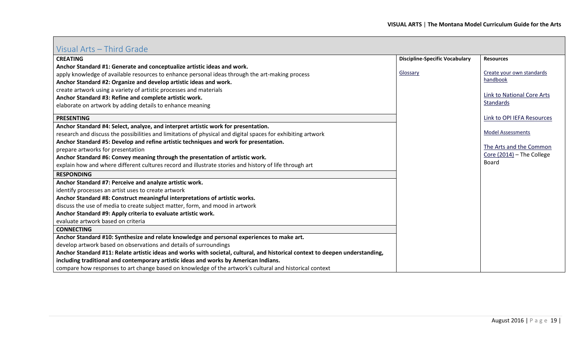#### <span id="page-18-0"></span>Visual Arts – Third Grade

| $\frac{1}{2}$ . The set of the set of the set of the set of the set of the set of the set of the set of the set of the set of the set of the set of the set of the set of the set of the set of the set of the set of the set of |                                       |                                             |
|----------------------------------------------------------------------------------------------------------------------------------------------------------------------------------------------------------------------------------|---------------------------------------|---------------------------------------------|
| <b>CREATING</b>                                                                                                                                                                                                                  | <b>Discipline-Specific Vocabulary</b> | <b>Resources</b>                            |
| Anchor Standard #1: Generate and conceptualize artistic ideas and work.                                                                                                                                                          |                                       |                                             |
| apply knowledge of available resources to enhance personal ideas through the art-making process                                                                                                                                  | Glossary                              | Create your own standards                   |
| Anchor Standard #2: Organize and develop artistic ideas and work.                                                                                                                                                                |                                       | handbook                                    |
| create artwork using a variety of artistic processes and materials                                                                                                                                                               |                                       |                                             |
| Anchor Standard #3: Refine and complete artistic work.                                                                                                                                                                           |                                       | <b>Link to National Core Arts</b>           |
| elaborate on artwork by adding details to enhance meaning                                                                                                                                                                        |                                       | <b>Standards</b>                            |
| <b>PRESENTING</b>                                                                                                                                                                                                                |                                       | Link to OPI IEFA Resources                  |
| Anchor Standard #4: Select, analyze, and interpret artistic work for presentation.                                                                                                                                               |                                       |                                             |
| research and discuss the possibilities and limitations of physical and digital spaces for exhibiting artwork                                                                                                                     |                                       | <b>Model Assessments</b>                    |
| Anchor Standard #5: Develop and refine artistic techniques and work for presentation.                                                                                                                                            |                                       |                                             |
| prepare artworks for presentation                                                                                                                                                                                                |                                       | The Arts and the Common                     |
| Anchor Standard #6: Convey meaning through the presentation of artistic work.                                                                                                                                                    |                                       | Core $(2014)$ – The College<br><b>Board</b> |
| explain how and where different cultures record and illustrate stories and history of life through art                                                                                                                           |                                       |                                             |
| <b>RESPONDING</b>                                                                                                                                                                                                                |                                       |                                             |
| Anchor Standard #7: Perceive and analyze artistic work.                                                                                                                                                                          |                                       |                                             |
| identify processes an artist uses to create artwork                                                                                                                                                                              |                                       |                                             |
| Anchor Standard #8: Construct meaningful interpretations of artistic works.                                                                                                                                                      |                                       |                                             |
| discuss the use of media to create subject matter, form, and mood in artwork                                                                                                                                                     |                                       |                                             |
| Anchor Standard #9: Apply criteria to evaluate artistic work.                                                                                                                                                                    |                                       |                                             |
| evaluate artwork based on criteria                                                                                                                                                                                               |                                       |                                             |
| <b>CONNECTING</b>                                                                                                                                                                                                                |                                       |                                             |
| Anchor Standard #10: Synthesize and relate knowledge and personal experiences to make art.                                                                                                                                       |                                       |                                             |
| develop artwork based on observations and details of surroundings                                                                                                                                                                |                                       |                                             |
| Anchor Standard #11: Relate artistic ideas and works with societal, cultural, and historical context to deepen understanding,                                                                                                    |                                       |                                             |
| including traditional and contemporary artistic ideas and works by American Indians.                                                                                                                                             |                                       |                                             |
| compare how responses to art change based on knowledge of the artwork's cultural and historical context                                                                                                                          |                                       |                                             |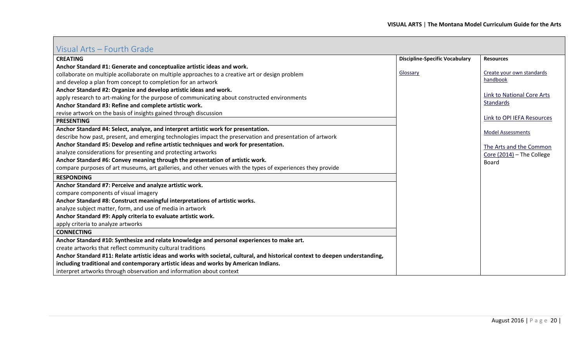## <span id="page-19-0"></span>Visual Arts – Fourth Grade

| <b>CREATING</b>                                                                                                               | <b>Discipline-Specific Vocabulary</b> | <b>Resources</b>                  |
|-------------------------------------------------------------------------------------------------------------------------------|---------------------------------------|-----------------------------------|
| Anchor Standard #1: Generate and conceptualize artistic ideas and work.                                                       |                                       |                                   |
| collaborate on multiple acollaborate on multiple approaches to a creative art or design problem                               | Glossary                              | Create your own standards         |
| and develop a plan from concept to completion for an artwork                                                                  |                                       | handbook                          |
| Anchor Standard #2: Organize and develop artistic ideas and work.                                                             |                                       |                                   |
| apply research to art-making for the purpose of communicating about constructed environments                                  |                                       | <b>Link to National Core Arts</b> |
| Anchor Standard #3: Refine and complete artistic work.                                                                        |                                       | <b>Standards</b>                  |
| revise artwork on the basis of insights gained through discussion                                                             |                                       |                                   |
| <b>PRESENTING</b>                                                                                                             |                                       | Link to OPI IEFA Resources        |
| Anchor Standard #4: Select, analyze, and interpret artistic work for presentation.                                            |                                       | <b>Model Assessments</b>          |
| describe how past, present, and emerging technologies impact the preservation and presentation of artwork                     |                                       |                                   |
| Anchor Standard #5: Develop and refine artistic techniques and work for presentation.                                         |                                       | The Arts and the Common           |
| analyze considerations for presenting and protecting artworks                                                                 |                                       | Core (2014) - The College         |
| Anchor Standard #6: Convey meaning through the presentation of artistic work.                                                 |                                       | <b>Board</b>                      |
| compare purposes of art museums, art galleries, and other venues with the types of experiences they provide                   |                                       |                                   |
| <b>RESPONDING</b>                                                                                                             |                                       |                                   |
| Anchor Standard #7: Perceive and analyze artistic work.                                                                       |                                       |                                   |
| compare components of visual imagery                                                                                          |                                       |                                   |
| Anchor Standard #8: Construct meaningful interpretations of artistic works.                                                   |                                       |                                   |
| analyze subject matter, form, and use of media in artwork                                                                     |                                       |                                   |
| Anchor Standard #9: Apply criteria to evaluate artistic work.                                                                 |                                       |                                   |
| apply criteria to analyze artworks                                                                                            |                                       |                                   |
| <b>CONNECTING</b>                                                                                                             |                                       |                                   |
| Anchor Standard #10: Synthesize and relate knowledge and personal experiences to make art.                                    |                                       |                                   |
| create artworks that reflect community cultural traditions                                                                    |                                       |                                   |
| Anchor Standard #11: Relate artistic ideas and works with societal, cultural, and historical context to deepen understanding, |                                       |                                   |
| including traditional and contemporary artistic ideas and works by American Indians.                                          |                                       |                                   |
| interpret artworks through observation and information about context                                                          |                                       |                                   |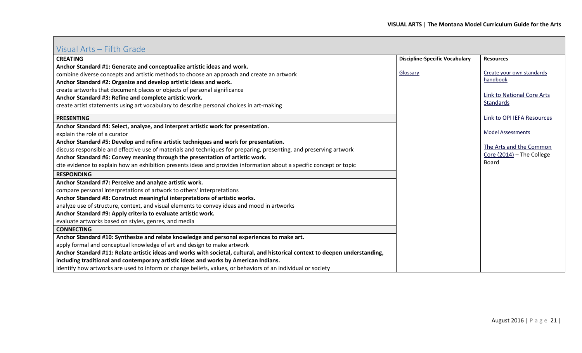## <span id="page-20-0"></span>Visual Arts – Fifth Grade

| <b>CREATING</b>                                                                                                               | <b>Discipline-Specific Vocabulary</b> | <b>Resources</b>                  |
|-------------------------------------------------------------------------------------------------------------------------------|---------------------------------------|-----------------------------------|
| Anchor Standard #1: Generate and conceptualize artistic ideas and work.                                                       |                                       |                                   |
| combine diverse concepts and artistic methods to choose an approach and create an artwork                                     | Glossary                              | Create your own standards         |
| Anchor Standard #2: Organize and develop artistic ideas and work.                                                             |                                       | handbook                          |
| create artworks that document places or objects of personal significance                                                      |                                       |                                   |
| Anchor Standard #3: Refine and complete artistic work.                                                                        |                                       | <b>Link to National Core Arts</b> |
| create artist statements using art vocabulary to describe personal choices in art-making                                      |                                       | Standards                         |
| <b>PRESENTING</b>                                                                                                             |                                       | Link to OPI IEFA Resources        |
| Anchor Standard #4: Select, analyze, and interpret artistic work for presentation.                                            |                                       |                                   |
| explain the role of a curator                                                                                                 |                                       | <b>Model Assessments</b>          |
| Anchor Standard #5: Develop and refine artistic techniques and work for presentation.                                         |                                       |                                   |
| discuss responsible and effective use of materials and techniques for preparing, presenting, and preserving artwork           |                                       | The Arts and the Common           |
| Anchor Standard #6: Convey meaning through the presentation of artistic work.                                                 |                                       | Core (2014) - The College         |
| cite evidence to explain how an exhibition presents ideas and provides information about a specific concept or topic          |                                       | <b>Board</b>                      |
| <b>RESPONDING</b>                                                                                                             |                                       |                                   |
| Anchor Standard #7: Perceive and analyze artistic work.                                                                       |                                       |                                   |
| compare personal interpretations of artwork to others' interpretations                                                        |                                       |                                   |
| Anchor Standard #8: Construct meaningful interpretations of artistic works.                                                   |                                       |                                   |
| analyze use of structure, context, and visual elements to convey ideas and mood in artworks                                   |                                       |                                   |
| Anchor Standard #9: Apply criteria to evaluate artistic work.                                                                 |                                       |                                   |
| evaluate artworks based on styles, genres, and media                                                                          |                                       |                                   |
| <b>CONNECTING</b>                                                                                                             |                                       |                                   |
| Anchor Standard #10: Synthesize and relate knowledge and personal experiences to make art.                                    |                                       |                                   |
| apply formal and conceptual knowledge of art and design to make artwork                                                       |                                       |                                   |
| Anchor Standard #11: Relate artistic ideas and works with societal, cultural, and historical context to deepen understanding, |                                       |                                   |
| including traditional and contemporary artistic ideas and works by American Indians.                                          |                                       |                                   |
| identify how artworks are used to inform or change beliefs, values, or behaviors of an individual or society                  |                                       |                                   |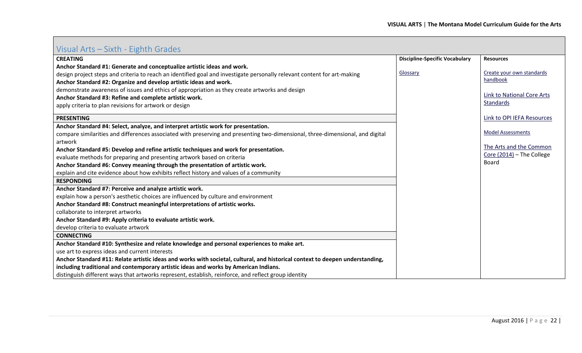<span id="page-21-0"></span>

| Visual Arts - Sixth - Eighth Grades |  |
|-------------------------------------|--|
|-------------------------------------|--|

| Visual Arts – Sixtii - Lighth Oraucs                                                                                           |                                       |                                    |
|--------------------------------------------------------------------------------------------------------------------------------|---------------------------------------|------------------------------------|
| <b>CREATING</b>                                                                                                                | <b>Discipline-Specific Vocabulary</b> | <b>Resources</b>                   |
| Anchor Standard #1: Generate and conceptualize artistic ideas and work.                                                        |                                       |                                    |
| design project steps and criteria to reach an identified goal and investigate personally relevant content for art-making       | Glossary                              | Create your own standards          |
| Anchor Standard #2: Organize and develop artistic ideas and work.                                                              |                                       | handbook                           |
| demonstrate awareness of issues and ethics of appropriation as they create artworks and design                                 |                                       |                                    |
| Anchor Standard #3: Refine and complete artistic work.                                                                         |                                       | Link to National Core Arts         |
| apply criteria to plan revisions for artwork or design                                                                         |                                       | Standards                          |
| <b>PRESENTING</b>                                                                                                              |                                       | Link to OPI IEFA Resources         |
| Anchor Standard #4: Select, analyze, and interpret artistic work for presentation.                                             |                                       |                                    |
| compare similarities and differences associated with preserving and presenting two-dimensional, three-dimensional, and digital |                                       | <b>Model Assessments</b>           |
| artwork                                                                                                                        |                                       | The Arts and the Common            |
| Anchor Standard #5: Develop and refine artistic techniques and work for presentation.                                          |                                       |                                    |
| evaluate methods for preparing and presenting artwork based on criteria                                                        |                                       | Core (2014) - The College<br>Board |
| Anchor Standard #6: Convey meaning through the presentation of artistic work.                                                  |                                       |                                    |
| explain and cite evidence about how exhibits reflect history and values of a community                                         |                                       |                                    |
| <b>RESPONDING</b>                                                                                                              |                                       |                                    |
| Anchor Standard #7: Perceive and analyze artistic work.                                                                        |                                       |                                    |
| explain how a person's aesthetic choices are influenced by culture and environment                                             |                                       |                                    |
| Anchor Standard #8: Construct meaningful interpretations of artistic works.                                                    |                                       |                                    |
| collaborate to interpret artworks                                                                                              |                                       |                                    |
| Anchor Standard #9: Apply criteria to evaluate artistic work.                                                                  |                                       |                                    |
| develop criteria to evaluate artwork                                                                                           |                                       |                                    |
| <b>CONNECTING</b>                                                                                                              |                                       |                                    |
| Anchor Standard #10: Synthesize and relate knowledge and personal experiences to make art.                                     |                                       |                                    |
| use art to express ideas and current interests                                                                                 |                                       |                                    |
| Anchor Standard #11: Relate artistic ideas and works with societal, cultural, and historical context to deepen understanding,  |                                       |                                    |
| including traditional and contemporary artistic ideas and works by American Indians.                                           |                                       |                                    |
| distinguish different ways that artworks represent, establish, reinforce, and reflect group identity                           |                                       |                                    |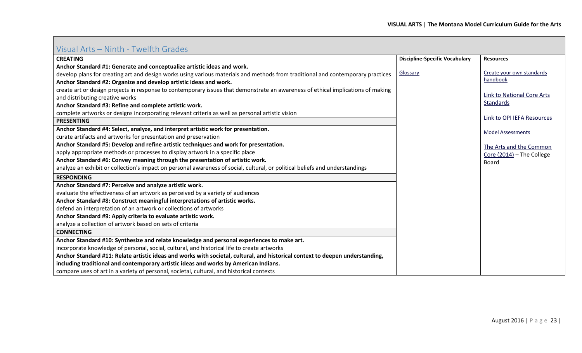<span id="page-22-0"></span>

| VIJUUITTII LJETTIILIITTII YYLIILII UIUULJ                                                                                        |                                       |                                   |
|----------------------------------------------------------------------------------------------------------------------------------|---------------------------------------|-----------------------------------|
| <b>CREATING</b>                                                                                                                  | <b>Discipline-Specific Vocabulary</b> | <b>Resources</b>                  |
| Anchor Standard #1: Generate and conceptualize artistic ideas and work.                                                          |                                       |                                   |
| develop plans for creating art and design works using various materials and methods from traditional and contemporary practices  | Glossary                              | Create your own standards         |
| Anchor Standard #2: Organize and develop artistic ideas and work.                                                                |                                       | handbook                          |
| create art or design projects in response to contemporary issues that demonstrate an awareness of ethical implications of making |                                       |                                   |
| and distributing creative works                                                                                                  |                                       | <b>Link to National Core Arts</b> |
| Anchor Standard #3: Refine and complete artistic work.                                                                           |                                       | <b>Standards</b>                  |
| complete artworks or designs incorporating relevant criteria as well as personal artistic vision                                 |                                       |                                   |
| <b>PRESENTING</b>                                                                                                                |                                       | Link to OPI IEFA Resources        |
| Anchor Standard #4: Select, analyze, and interpret artistic work for presentation.                                               |                                       | <b>Model Assessments</b>          |
| curate artifacts and artworks for presentation and preservation                                                                  |                                       |                                   |
| Anchor Standard #5: Develop and refine artistic techniques and work for presentation.                                            |                                       | The Arts and the Common           |
| apply appropriate methods or processes to display artwork in a specific place                                                    |                                       | Core (2014) - The College         |
| Anchor Standard #6: Convey meaning through the presentation of artistic work.                                                    |                                       | <b>Board</b>                      |
| analyze an exhibit or collection's impact on personal awareness of social, cultural, or political beliefs and understandings     |                                       |                                   |
| <b>RESPONDING</b>                                                                                                                |                                       |                                   |
| Anchor Standard #7: Perceive and analyze artistic work.                                                                          |                                       |                                   |
| evaluate the effectiveness of an artwork as perceived by a variety of audiences                                                  |                                       |                                   |
| Anchor Standard #8: Construct meaningful interpretations of artistic works.                                                      |                                       |                                   |
| defend an interpretation of an artwork or collections of artworks                                                                |                                       |                                   |
| Anchor Standard #9: Apply criteria to evaluate artistic work.                                                                    |                                       |                                   |
| analyze a collection of artwork based on sets of criteria                                                                        |                                       |                                   |
| <b>CONNECTING</b>                                                                                                                |                                       |                                   |
| Anchor Standard #10: Synthesize and relate knowledge and personal experiences to make art.                                       |                                       |                                   |
| incorporate knowledge of personal, social, cultural, and historical life to create artworks                                      |                                       |                                   |
| Anchor Standard #11: Relate artistic ideas and works with societal, cultural, and historical context to deepen understanding,    |                                       |                                   |
| including traditional and contemporary artistic ideas and works by American Indians.                                             |                                       |                                   |
| compare uses of art in a variety of personal, societal, cultural, and historical contexts                                        |                                       |                                   |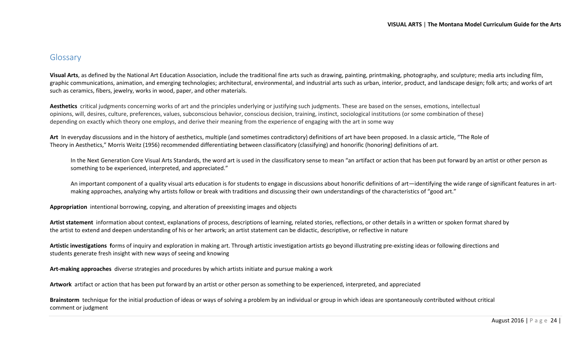#### <span id="page-23-0"></span>Glossary

**Visual Arts**, as defined by the National Art Education Association, include the traditional fine arts such as drawing, painting, printmaking, photography, and sculpture; media arts including film, graphic communications, animation, and emerging technologies; architectural, environmental, and industrial arts such as urban, interior, product, and landscape design; folk arts; and works of art such as ceramics, fibers, jewelry, works in wood, paper, and other materials.

**Aesthetics** critical judgments concerning works of art and the principles underlying or justifying such judgments. These are based on the senses, emotions, intellectual opinions, will, desires, culture, preferences, values, subconscious behavior, conscious decision, training, instinct, sociological institutions (or some combination of these) depending on exactly which theory one employs, and derive their meaning from the experience of engaging with the art in some way

**Art** In everyday discussions and in the history of aesthetics, multiple (and sometimes contradictory) definitions of art have been proposed. In a classic article, "The Role of Theory in Aesthetics," Morris Weitz (1956) recommended differentiating between classificatory (classifying) and honorific (honoring) definitions of art.

In the Next Generation Core Visual Arts Standards, the word art is used in the classificatory sense to mean "an artifact or action that has been put forward by an artist or other person as something to be experienced, interpreted, and appreciated."

An important component of a quality visual arts education is for students to engage in discussions about honorific definitions of art—identifying the wide range of significant features in artmaking approaches, analyzing why artists follow or break with traditions and discussing their own understandings of the characteristics of "good art."

**Appropriation** intentional borrowing, copying, and alteration of preexisting images and objects

**Artist statement** information about context, explanations of process, descriptions of learning, related stories, reflections, or other details in a written or spoken format shared by the artist to extend and deepen understanding of his or her artwork; an artist statement can be didactic, descriptive, or reflective in nature

**Artistic investigations f**orms of inquiry and exploration in making art. Through artistic investigation artists go beyond illustrating pre-existing ideas or following directions and students generate fresh insight with new ways of seeing and knowing

**Art-making approaches** diverse strategies and procedures by which artists initiate and pursue making a work

**Artwork** artifact or action that has been put forward by an artist or other person as something to be experienced, interpreted, and appreciated

**Brainstorm** technique for the initial production of ideas or ways of solving a problem by an individual or group in which ideas are spontaneously contributed without critical comment or judgment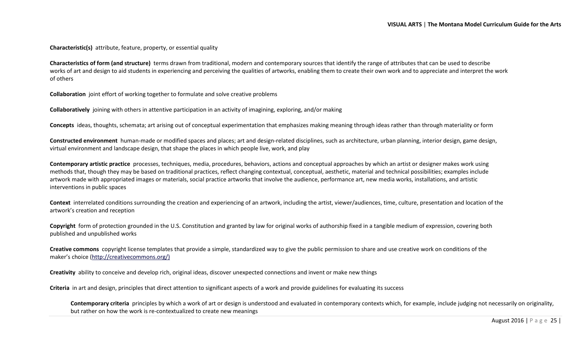**Characteristic(s)** attribute, feature, property, or essential quality

**Characteristics of form (and structure)** terms drawn from traditional, modern and contemporary sources that identify the range of attributes that can be used to describe works of art and design to aid students in experiencing and perceiving the qualities of artworks, enabling them to create their own work and to appreciate and interpret the work of others

**Collaboration** joint effort of working together to formulate and solve creative problems

**Collaboratively** joining with others in attentive participation in an activity of imagining, exploring, and/or making

**Concepts** ideas, thoughts, schemata; art arising out of conceptual experimentation that emphasizes making meaning through ideas rather than through materiality or form

**Constructed environment** human-made or modified spaces and places; art and design-related disciplines, such as architecture, urban planning, interior design, game design, virtual environment and landscape design, that shape the places in which people live, work, and play

**Contemporary artistic practice** processes, techniques, media, procedures, behaviors, actions and conceptual approaches by which an artist or designer makes work using methods that, though they may be based on traditional practices, reflect changing contextual, conceptual, aesthetic, material and technical possibilities; examples include artwork made with appropriated images or materials, social practice artworks that involve the audience, performance art, new media works, installations, and artistic interventions in public spaces

**Context** interrelated conditions surrounding the creation and experiencing of an artwork, including the artist, viewer/audiences, time, culture, presentation and location of the artwork's creation and reception

**Copyright** form of protection grounded in the U.S. Constitution and granted by law for original works of authorship fixed in a tangible medium of expression, covering both published and unpublished works

**Creative commons** copyright license templates that provide a simple, standardized way to give the public permission to share and use creative work on conditions of the maker's choice [\(http://creativecommons.org/\)](http://creativecommons.org/)

**Creativity** ability to conceive and develop rich, original ideas, discover unexpected connections and invent or make new things

**Criteria** in art and design, principles that direct attention to significant aspects of a work and provide guidelines for evaluating its success

**Contemporary criteria** principles by which a work of art or design is understood and evaluated in contemporary contexts which, for example, include judging not necessarily on originality, but rather on how the work is re-contextualized to create new meanings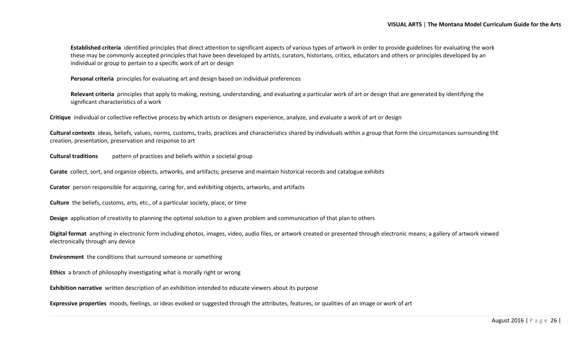**Established criteria** identified principles that direct attention to significant aspects of various types of artwork in order to provide guidelines for evaluating the work these may be commonly accepted principles that have been developed by artists, curators, historians, critics, educators and others or principles developed by an individual or group to pertain to a specific work of art or design

**Personal criteria** principles for evaluating art and design based on individual preferences

**Relevant criteria** principles that apply to making, revising, understanding, and evaluating a particular work of art or design that are generated by identifying the significant characteristics of a work

**Critique** individual or collective reflective process by which artists or designers experience, analyze, and evaluate a work of art or design

**Cultural contexts** ideas, beliefs, values, norms, customs, traits, practices and characteristics shared by individuals within a group that form the circumstances surrounding thE creation, presentation, preservation and response to art

**Cultural traditions** pattern of practices and beliefs within a societal group

**Curate** collect, sort, and organize objects, artworks, and artifacts; preserve and maintain historical records and catalogue exhibits

**Curator** person responsible for acquiring, caring for, and exhibiting objects, artworks, and artifacts

**Culture** the beliefs, customs, arts, etc., of a particular society, place, or time

**Design** application of creativity to planning the optimal solution to a given problem and communication of that plan to others

**Digital format** anything in electronic form including photos, images, video, audio files, or artwork created or presented through electronic means; a gallery of artwork viewed electronically through any device

**Environment** the conditions that surround someone or something

**Ethics** a branch of philosophy investigating what is morally right or wrong

**Exhibition narrative** written description of an exhibition intended to educate viewers about its purpose

**Expressive properties** moods, feelings, or ideas evoked or suggested through the attributes, features, or qualities of an image or work of art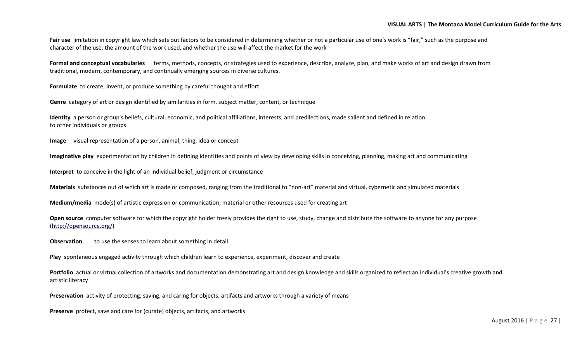Fair use limitation in copyright law which sets out factors to be considered in determining whether or not a particular use of one's work is "fair," such as the purpose and character of the use, the amount of the work used, and whether the use will affect the market for the work

**Formal and conceptual vocabularies** terms, methods, concepts, or strategies used to experience, describe, analyze, plan, and make works of art and design drawn from traditional, modern, contemporary, and continually emerging sources in diverse cultures.

**Formulate** to create, invent, or produce something by careful thought and effort

**Genre** category of art or design identified by similarities in form, subject matter, content, or technique

I**dentity** a person or group's beliefs, cultural, economic, and political affiliations, interests, and predilections, made salient and defined in relation to other individuals or groups

**Image** visual representation of a person, animal, thing, idea or concept

**Imaginative play** experimentation by children in defining identities and points of view by developing skills in conceiving, planning, making art and communicating

**Interpret** to conceive in the light of an individual belief, judgment or circumstance

**Materials** substances out of which art is made or composed, ranging from the traditional to "non-art" material and virtual, cybernetic and simulated materials

**Medium/media** mode(s) of artistic expression or communication; material or other resources used for creating art

**Open source** computer software for which the copyright holder freely provides the right to use, study, change and distribute the software to anyone for any purpose [\(http://opensource.org/\)](http://opensource.org/)

**Observation** to use the senses to learn about something in detail

**Play** spontaneous engaged activity through which children learn to experience, experiment, discover and create

**Portfolio** actual or virtual collection of artworks and documentation demonstrating art and design knowledge and skills organized to reflect an individual's creative growth and artistic literacy

**Preservation** activity of protecting, saving, and caring for objects, artifacts and artworks through a variety of means

**Preserve** protect, save and care for (curate) objects, artifacts, and artworks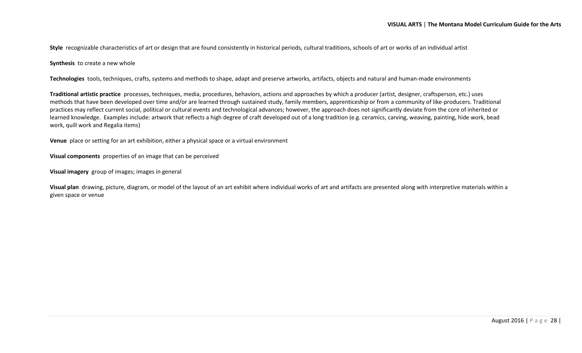**Style** recognizable characteristics of art or design that are found consistently in historical periods, cultural traditions, schools of art or works of an individual artist

**Synthesis** to create a new whole

**Technologies** tools, techniques, crafts, systems and methods to shape, adapt and preserve artworks, artifacts, objects and natural and human-made environments

**Traditional artistic practice** processes, techniques, media, procedures, behaviors, actions and approaches by which a producer (artist, designer, craftsperson, etc.) uses methods that have been developed over time and/or are learned through sustained study, family members, apprenticeship or from a community of like-producers. Traditional practices may reflect current social, political or cultural events and technological advances; however, the approach does not significantly deviate from the core of inherited or learned knowledge. Examples include: artwork that reflects a high degree of craft developed out of a long tradition (e.g. ceramics, carving, weaving, painting, hide work, bead work, quill work and Regalia items)

**Venue** place or setting for an art exhibition, either a physical space or a virtual environment

**Visual components** properties of an image that can be perceived

**Visual imagery** group of images; images in general

**Visual plan** drawing, picture, diagram, or model of the layout of an art exhibit where individual works of art and artifacts are presented along with interpretive materials within a given space or venue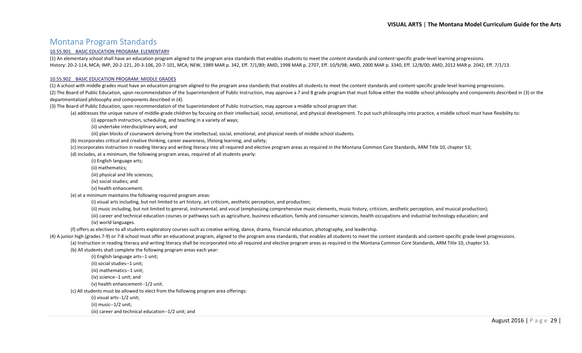#### <span id="page-28-0"></span>Montana Program Standards

#### [10.55.901 BASIC EDUCATION PROGRAM: ELEMENTARY](http://mtrules.org/gateway/ruleno.asp?RN=10%2E55%2E901)

(1) An elementary school shall have an education program aligned to the program area standards that enables students to meet the content standards and content-specific grade-level learning progressions. History: 20-2-114, MCA; IMP, 20-2-121, 20-3-106, 20-7-101, MCA; NEW, 1989 MAR p. 342, Eff. 7/1/89; AMD, 1998 MAR p. 2707, Eff. 10/9/98; AMD, 2000 MAR p. 3340, Eff. 12/8/00; AMD, 2012 MAR p. 2042, Eff. 7/1/13.

#### [10.55.902 BASIC EDUCATION PROGRAM: MIDDLE GRADES](http://mtrules.org/gateway/ruleno.asp?RN=10%2E55%2E902)

(1) A school with middle grades must have an education program aligned to the program area standards that enables all students to meet the content standards and content-specific grade-level learning progressions. (2) The Board of Public Education, upon recommendation of the Superintendent of Public Instruction, may approve a 7 and 8 grade program that must follow either the middle school philosophy and components described in (3) o departmentalized philosophy and components described in (4).

(3) The Board of Public Education, upon recommendation of the Superintendent of Public Instruction, may approve a middle school program that:

(a) addresses the unique nature of middle-grade children by focusing on their intellectual, social, emotional, and physical development. To put such philosophy into practice, a middle school must have flexibility to:

(i) approach instruction, scheduling, and teaching in a variety of ways;

(ii) undertake interdisciplinary work; and

(iii) plan blocks of coursework deriving from the intellectual, social, emotional, and physical needs of middle school students.

(b) incorporates critical and creative thinking, career awareness, lifelong learning, and safety;

(c) incorporates instruction in reading literacy and writing literacy into all required and elective program areas as required in the Montana Common Core Standards, ARM Title 10, chapter 53;

(d) includes, at a minimum, the following program areas, required of all students yearly:

(i) English language arts;

(ii) mathematics;

(iii) physical and life sciences;

(iv) social studies; and

(v) health enhancement.

(e) at a minimum maintains the following required program areas:

(i) visual arts including, but not limited to art history, art criticism, aesthetic perception, and production;

(ii) music including, but not limited to general, instrumental, and vocal (emphasizing comprehensive music elements, music history, criticism, aesthetic perception, and musical production);

(iii) career and technical education courses or pathways such as agriculture, business education, family and consumer sciences, health occupations and industrial technology education; and (iv) world languages.

(f) offers as electives to all students exploratory courses such as creative writing, dance, drama, financial education, photography, and leadership.

(4) A junior high (grades 7-9) or 7-8 school must offer an educational program, aligned to the program area standards, that enables all students to meet the content standards and content-specific grade-level progressions. (a) Instruction in reading literacy and writing literacy shall be incorporated into all required and elective program areas as required in the Montana Common Core Standards, ARM Title 10, chapter 53. (b) All students shall complete the following program areas each year:

(i) English language arts--1 unit;

(ii) social studies--1 unit;

(iii) mathematics--1 unit; (iv) science--1 unit; and

(v) health enhancement--1/2 unit.

(c) All students must be allowed to elect from the following program area offerings:

(i) visual arts--1/2 unit;

(ii) music--1/2 unit;

(iii) career and technical education--1/2 unit; and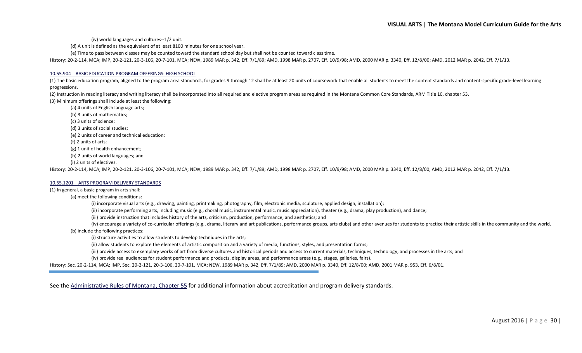(iv) world languages and cultures--1/2 unit.

(d) A unit is defined as the equivalent of at least 8100 minutes for one school year.

(e) Time to pass between classes may be counted toward the standard school day but shall not be counted toward class time.

History: 20-2-114, MCA; IMP, 20-2-121, 20-3-106, 20-7-101, MCA; NEW, 1989 MAR p. 342, Eff. 7/1/89; AMD, 1998 MAR p. 2707, Eff. 10/9/98; AMD, 2000 MAR p. 3340, Eff. 12/8/00; AMD, 2012 MAR p. 2042, Eff. 7/1/13.

#### [10.55.904 BASIC EDUCATION PROGRAM OFFERINGS: HIGH SCHOOL](http://mtrules.org/gateway/ruleno.asp?RN=10%2E55%2E904)

(1) The basic education program, aligned to the program area standards, for grades 9 through 12 shall be at least 20 units of coursework that enable all students to meet the content standards and content-specific grade-lev progressions.

(2) Instruction in reading literacy and writing literacy shall be incorporated into all required and elective program areas as required in the Montana Common Core Standards, ARM Title 10, chapter 53. (3) Minimum offerings shall include at least the following:

(a) 4 units of English language arts; (b) 3 units of mathematics; (c) 3 units of science; (d) 3 units of social studies; (e) 2 units of career and technical education; (f) 2 units of arts; (g) 1 unit of health enhancement; (h) 2 units of world languages; and

(i) 2 units of electives.

History: 20-2-114, MCA; IMP, 20-2-121, 20-3-106, 20-7-101, MCA; NEW, 1989 MAR p. 342, Eff. 7/1/89; AMD, 1998 MAR p. 2707, Eff. 10/9/98; AMD, 2000 MAR p. 3340, Eff. 12/8/00; AMD, 2012 MAR p. 2042, Eff. 7/1/13.

#### [10.55.1201 ARTS PROGRAM](http://mtrules.org/gateway/ruleno.asp?RN=10%2E55%2E1201) DELIVERY STANDARDS

(1) In general, a basic program in arts shall:

(a) meet the following conditions:

(i) incorporate visual arts (e.g., drawing, painting, printmaking, photography, film, electronic media, sculpture, applied design, installation);

(ii) incorporate performing arts, including music (e.g., choral music, instrumental music, music appreciation), theater (e.g., drama, play production), and dance;

(iii) provide instruction that includes history of the arts, criticism, production, performance, and aesthetics; and

(iv) encourage a variety of co-curricular offerings (e.g., drama, literary and art publications, performance groups, arts clubs) and other avenues for students to practice their artistic skills in the community and the wor

(b) include the following practices:

(i) structure activities to allow students to develop techniques in the arts;

(ii) allow students to explore the elements of artistic composition and a variety of media, functions, styles, and presentation forms;

(iii) provide access to exemplary works of art from diverse cultures and historical periods and access to current materials, techniques, technology, and processes in the arts; and

(iv) provide real audiences for student performance and products, display areas, and performance areas (e.g., stages, galleries, fairs).

History: Sec. 20-2-114, MCA; IMP, Sec. 20-2-121, 20-3-106, 20-7-101, MCA; NEW, 1989 MAR p. 342, Eff. 7/1/89; AMD, 2000 MAR p. 3340, Eff. 12/8/00; AMD, 2001 MAR p. 953, Eff. 6/8/01.

See the [Administrative Rules of Montana, Chapter 55](http://mtrules.org/gateway/ChapterHome.asp?Chapter=10%2E55) for additional information about accreditation and program delivery standards.